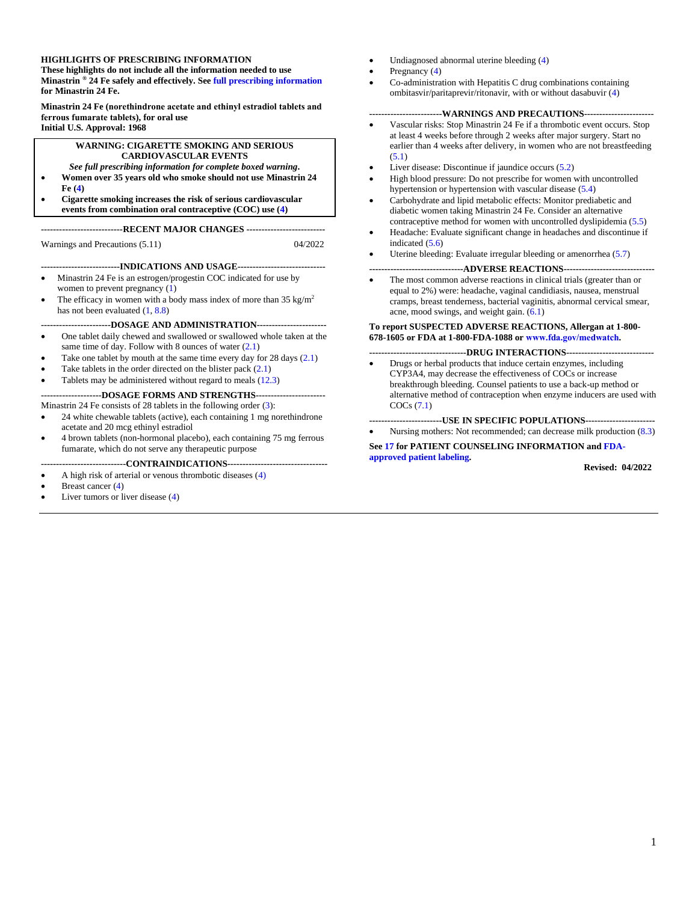#### **HIGHLIGHTS OF PRESCRIBING INFORMATION**

**These highlights do not include all the information needed to use Minastrin ® 24 Fe safely and effectively. Se[e full prescribing information](#page-2-0) for Minastrin 24 Fe.**

**Minastrin 24 Fe (norethindrone acetate and ethinyl estradiol tablets and ferrous fumarate tablets), for oral use Initial U.S. Approval: 1968**

#### **WARNING: CIGARETTE SMOKING AND SERIOUS CARDIOVASCULAR EVENTS**

#### *See full prescribing information for complete boxed warning***.**

- **Women over 35 years old who smoke should not use Minastrin 24 Fe [\(4\)](#page-4-0)**
- **Cigarette smoking increases the risk of serious cardiovascular events from combination oral contraceptive (COC) use [\(4\)](#page-4-0)**

**---------------------------RECENT MAJOR CHANGES --------------------------**

Warnings and Precautions (5.11) 04/2022

**--------------------------INDICATIONS AND USAGE-----------------------------**

- Minastrin 24 Fe is an estrogen/progestin COC indicated for use by women to prevent pregnancy  $(1)$
- The efficacy in women with a body mass index of more than  $35 \text{ kg/m}^2$ has not been evaluated [\(1,](#page-2-1) [8.8\)](#page-13-0)
- **-----------------------DOSAGE AND ADMINISTRATION-----------------------** • One tablet daily chewed and swallowed or swallowed whole taken at the
- same time of day. Follow with 8 ounces of water  $(2.1)$
- Take one tablet by mouth at the same time every day for  $28 \text{ days} (2.1)$  $28 \text{ days} (2.1)$
- Take tablets in the order directed on the blister pack  $(2.1)$ Tablets may be administered without regard to meals [\(12.3\)](#page-14-0)
- 

#### **--------------------DOSAGE FORMS AND STRENGTHS-----------------------** Minastrin 24 Fe consists of 28 tablets in the following order [\(3\)](#page-4-1):

- 24 white chewable tablets (active), each containing 1 mg norethindrone acetate and 20 mcg ethinyl estradiol
- 4 brown tablets (non-hormonal placebo), each containing 75 mg ferrous fumarate, which do not serve any therapeutic purpose

#### **----------------------------CONTRAINDICATIONS---------------------------------**

- A high risk of arterial or venous thrombotic diseases [\(4\)](#page-4-0)
- Breast cancer [\(4\)](#page-4-0)
- Liver tumors or liver disease  $(4)$
- Undiagnosed abnormal uterine bleeding [\(4\)](#page-4-0)
- Pregnancy [\(4\)](#page-4-0)
- Co-administration with Hepatitis C drug combinations containing ombitasvir/paritaprevir/ritonavir, with or without dasabuvir [\(4\)](#page-4-0)

#### **------------------------WARNINGS AND PRECAUTIONS-----------------------**

- Vascular risks: Stop Minastrin 24 Fe if a thrombotic event occurs. Stop at least 4 weeks before through 2 weeks after major surgery. Start no earlier than 4 weeks after delivery, in women who are not breastfeeding  $(5.1)$
- Liver disease: Discontinue if jaundice occurs [\(5.2\)](#page-5-1)
- High blood pressure: Do not prescribe for women with uncontrolled hypertension or hypertension with vascular disease [\(5.4\)](#page-6-0)
- Carbohydrate and lipid metabolic effects: Monitor prediabetic and diabetic women taking Minastrin 24 Fe. Consider an alternative contraceptive method for women with uncontrolled dyslipidemia [\(5.5\)](#page-6-1)
- Headache: Evaluate significant change in headaches and discontinue if indicated  $(5.6)$
- Uterine bleeding: Evaluate irregular bleeding or amenorrhea [\(5.7\)](#page-7-1)

#### **-------------------------------ADVERSE REACTIONS------------------------------**

The most common adverse reactions in clinical trials (greater than or equal to 2%) were: headache, vaginal candidiasis, nausea, menstrual cramps, breast tenderness, bacterial vaginitis, abnormal cervical smear, acne, mood swings, and weight gain. [\(6.1\)](#page-9-0)

#### **To report SUSPECTED ADVERSE REACTIONS, Allergan at 1-800- 678-1605 or FDA at 1-800-FDA-1088 or www.fda.gov/medwatch***.*

- **--------------------------------DRUG INTERACTIONS-----------------------------**
- Drugs or herbal products that induce certain enzymes, including CYP3A4, may decrease the effectiveness of COCs or increase breakthrough bleeding. Counsel patients to use a back-up method or alternative method of contraception when enzyme inducers are used with COCs [\(7.1\)](#page-11-0)

**------------------------USE IN SPECIFIC POPULATIONS-----------------------** • Nursing mothers: Not recommended; can decrease milk production [\(8.3\)](#page-12-0)

**Se[e 17](#page-20-0) for PATIENT COUNSELING INFORMATION an[d FDA](#page-21-0)[approved patient labeling.](#page-21-0)**

 **Revised: 04/2022**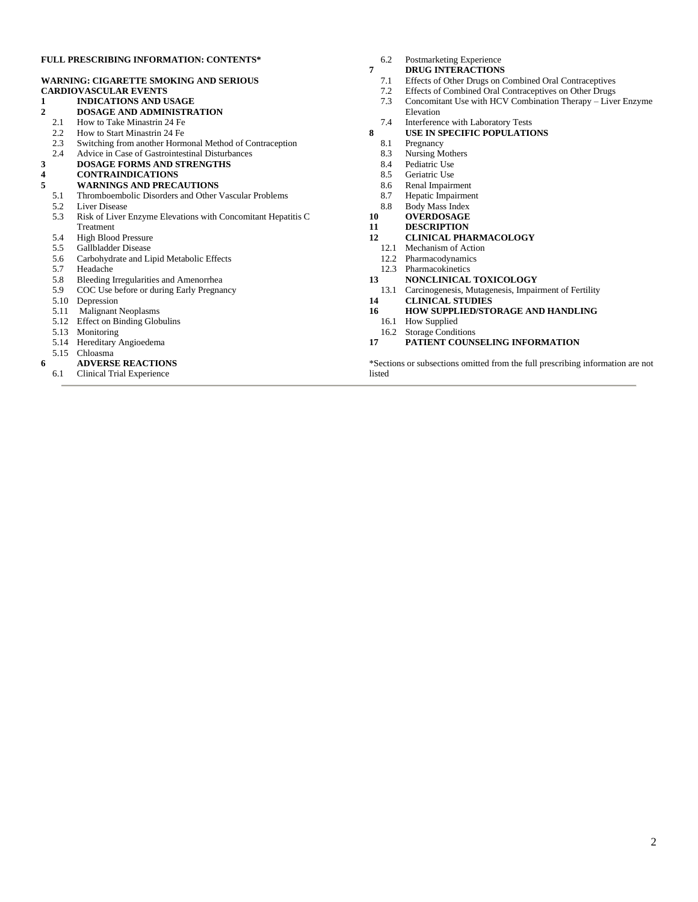#### **FULL PRESCRIBING INFORMATION: CONTENTS\***

#### **WARNING: CIGARETTE SMOKING AND SERIOUS CARDIOVASCULAR EVENTS**

- **1 INDICATIONS AND USAGE**
- **2 DOSAGE AND ADMINISTRATION**
- 2.1 How to Take Minastrin 24 Fe
- 2.2 How to Start Minastrin 24 Fe
- 2.3 Switching from another Hormonal Method of Contraception
- 2.4 Advice in Case of Gastrointestinal Disturbances
- **3 DOSAGE FORMS AND STRENGTHS**

#### **4 CONTRAINDICATIONS**

- **5 WARNINGS AND PRECAUTIONS**
	- 5.1 Thromboembolic Disorders and Other Vascular Problems
	- 5.2 Liver Disease<br>5.3 Risk of Liver
	- 5.3 Risk of Liver Enzyme Elevations with Concomitant Hepatitis C Treatment
	- 5.4 High Blood Pressure
	-
	- 5.5 Gallbladder Disease<br>5.6 Carbohydrate and Li 5.6 Carbohydrate and Lipid Metabolic Effects
	- 5.7 Headache
	- 5.8 Bleeding Irregularities and Amenorrhea
	- 5.9 COC Use before or during Early Pregnancy
	- 5.10 Depression
	- 5.11 Malignant Neoplasms
	- 5.12 Effect on Binding Globulins
	- 5.13 Monitoring
	- 5.14 Hereditary Angioedema
	- 5.15 Chloasma
- **6 6 ADVERSE REACTIONS** 
	- 6.1 Clinical Trial Experience
- 6.2 Postmarketing Experience
- **7 DRUG INTERACTIONS**
	- 7.1 Effects of Other Drugs on Combined Oral Contraceptives
	- 7.2 Effects of Combined Oral Contraceptives on Other Drugs<br>7.3 Concomitant Use with HCV Combination Therapy Live
	- Concomitant Use with HCV Combination Therapy Liver Enzyme Elevation
- 7.4 Interference with Laboratory Tests
- **8 USE IN SPECIFIC POPULATIONS**
	- 8.1 Pregnancy
	- 8.3 Nursing Mothers
	- 8.4 Pediatric Use<br>8.5 Geriatric Use
	- Geriatric Use
	- 8.6 Renal Impairment
	- 8.7 Hepatic Impairment
	- 8.8 Body Mass Index
- **10 OVERDOSAGE 11 DESCRIPTION**
- 
- **12 CLINICAL PHARMACOLOGY**
- 12.1 Mechanism of Action<br>12.2 Pharmacodynamics
- Pharmacodynamics
- 12.3 Pharmacokinetics
- **13 NONCLINICAL TOXICOLOGY**
- 13.1 Carcinogenesis, Mutagenesis, Impairment of Fertility
- **14 CLINICAL STUDIES**
- **16 HOW SUPPLIED/STORAGE AND HANDLING**
- 16.1 How Supplied
- 16.2 Storage Conditions
- **17 PATIENT COUNSELING INFORMATION**

\*Sections or subsections omitted from the full prescribing information are not listed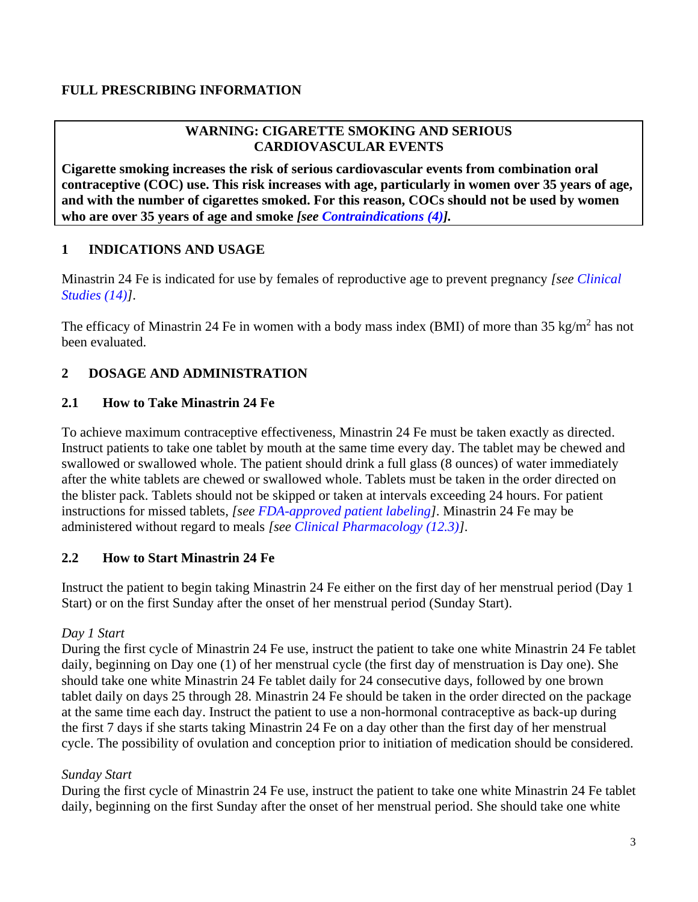#### <span id="page-2-0"></span>**FULL PRESCRIBING INFORMATION**

#### **WARNING: CIGARETTE SMOKING AND SERIOUS CARDIOVASCULAR EVENTS**

**Cigarette smoking increases the risk of serious cardiovascular events from combination oral contraceptive (COC) use. This risk increases with age, particularly in women over 35 years of age, and with the number of cigarettes smoked. For this reason, COCs should not be used by women who are over 35 years of age and smoke** *[see [Contraindications \(4\)\]](#page-4-0).*

#### <span id="page-2-1"></span>**1 INDICATIONS AND USAGE**

Minastrin 24 Fe is indicated for use by females of reproductive age to prevent pregnancy *[see [Clinical](#page-19-0)  [Studies \(14\)\]](#page-19-0)*.

The efficacy of Minastrin 24 Fe in women with a body mass index (BMI) of more than 35 kg/m<sup>2</sup> has not been evaluated.

#### **2 DOSAGE AND ADMINISTRATION**

#### <span id="page-2-2"></span>**2.1 How to Take Minastrin 24 Fe**

To achieve maximum contraceptive effectiveness, Minastrin 24 Fe must be taken exactly as directed. Instruct patients to take one tablet by mouth at the same time every day. The tablet may be chewed and swallowed or swallowed whole. The patient should drink a full glass (8 ounces) of water immediately after the white tablets are chewed or swallowed whole. Tablets must be taken in the order directed on the blister pack. Tablets should not be skipped or taken at intervals exceeding 24 hours. For patient instructions for missed tablets, *[see [FDA-approved patient labeling\]](#page-21-0)*. Minastrin 24 Fe may be administered without regard to meals *[see [Clinical Pharmacology \(12.3\)\]](#page-14-0)*.

#### **2.2 How to Start Minastrin 24 Fe**

Instruct the patient to begin taking Minastrin 24 Fe either on the first day of her menstrual period (Day 1 Start) or on the first Sunday after the onset of her menstrual period (Sunday Start).

#### *Day 1 Start*

During the first cycle of Minastrin 24 Fe use, instruct the patient to take one white Minastrin 24 Fe tablet daily, beginning on Day one (1) of her menstrual cycle (the first day of menstruation is Day one). She should take one white Minastrin 24 Fe tablet daily for 24 consecutive days, followed by one brown tablet daily on days 25 through 28. Minastrin 24 Fe should be taken in the order directed on the package at the same time each day. Instruct the patient to use a non-hormonal contraceptive as back-up during the first 7 days if she starts taking Minastrin 24 Fe on a day other than the first day of her menstrual cycle. The possibility of ovulation and conception prior to initiation of medication should be considered.

#### *Sunday Start*

During the first cycle of Minastrin 24 Fe use, instruct the patient to take one white Minastrin 24 Fe tablet daily, beginning on the first Sunday after the onset of her menstrual period. She should take one white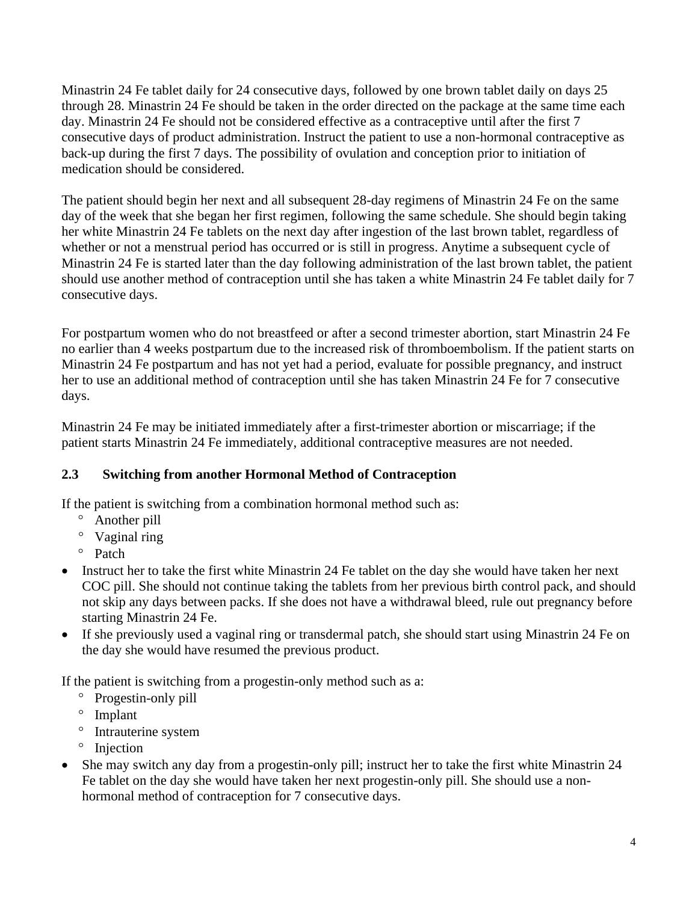Minastrin 24 Fe tablet daily for 24 consecutive days, followed by one brown tablet daily on days 25 through 28. Minastrin 24 Fe should be taken in the order directed on the package at the same time each day. Minastrin 24 Fe should not be considered effective as a contraceptive until after the first 7 consecutive days of product administration. Instruct the patient to use a non-hormonal contraceptive as back-up during the first 7 days. The possibility of ovulation and conception prior to initiation of medication should be considered.

The patient should begin her next and all subsequent 28-day regimens of Minastrin 24 Fe on the same day of the week that she began her first regimen, following the same schedule. She should begin taking her white Minastrin 24 Fe tablets on the next day after ingestion of the last brown tablet, regardless of whether or not a menstrual period has occurred or is still in progress. Anytime a subsequent cycle of Minastrin 24 Fe is started later than the day following administration of the last brown tablet, the patient should use another method of contraception until she has taken a white Minastrin 24 Fe tablet daily for 7 consecutive days.

For postpartum women who do not breastfeed or after a second trimester abortion, start Minastrin 24 Fe no earlier than 4 weeks postpartum due to the increased risk of thromboembolism. If the patient starts on Minastrin 24 Fe postpartum and has not yet had a period, evaluate for possible pregnancy, and instruct her to use an additional method of contraception until she has taken Minastrin 24 Fe for 7 consecutive days.

Minastrin 24 Fe may be initiated immediately after a first-trimester abortion or miscarriage; if the patient starts Minastrin 24 Fe immediately, additional contraceptive measures are not needed.

## **2.3 Switching from another Hormonal Method of Contraception**

If the patient is switching from a combination hormonal method such as:

- <sup>o</sup> Another pill
- <sup>o</sup> Vaginal ring
- <sup>o</sup> Patch
- Instruct her to take the first white Minastrin 24 Fe tablet on the day she would have taken her next COC pill. She should not continue taking the tablets from her previous birth control pack, and should not skip any days between packs. If she does not have a withdrawal bleed, rule out pregnancy before starting Minastrin 24 Fe.
- If she previously used a vaginal ring or transdermal patch, she should start using Minastrin 24 Fe on the day she would have resumed the previous product.

If the patient is switching from a progestin-only method such as a:

- <sup>o</sup> Progestin-only pill
- <sup>o</sup> Implant
- <sup>o</sup> Intrauterine system
- <sup>o</sup> Injection
- She may switch any day from a progestin-only pill; instruct her to take the first white Minastrin 24 Fe tablet on the day she would have taken her next progestin-only pill. She should use a nonhormonal method of contraception for 7 consecutive days.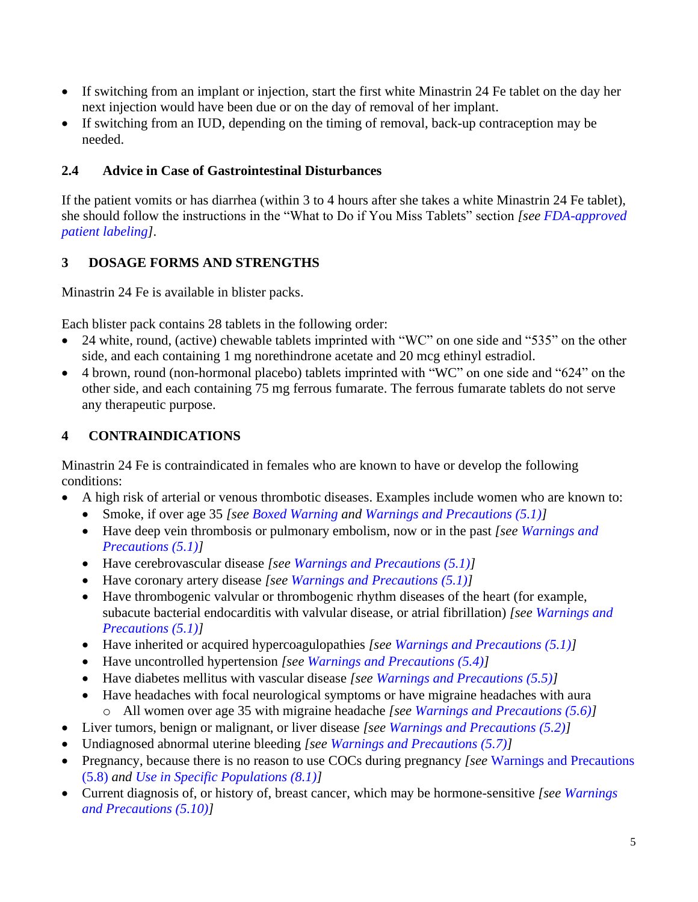- If switching from an implant or injection, start the first white Minastrin 24 Fe tablet on the day her next injection would have been due or on the day of removal of her implant.
- If switching from an IUD, depending on the timing of removal, back-up contraception may be needed.

#### **2.4 Advice in Case of Gastrointestinal Disturbances**

If the patient vomits or has diarrhea (within 3 to 4 hours after she takes a white Minastrin 24 Fe tablet), she should follow the instructions in the "What to Do if You Miss Tablets" section *[see [FDA-approved](#page-21-0)  [patient labeling\]](#page-21-0)*.

### <span id="page-4-1"></span>**3 DOSAGE FORMS AND STRENGTHS**

Minastrin 24 Fe is available in blister packs.

Each blister pack contains 28 tablets in the following order:

- 24 white, round, (active) chewable tablets imprinted with "WC" on one side and "535" on the other side, and each containing 1 mg norethindrone acetate and 20 mcg ethinyl estradiol.
- 4 brown, round (non-hormonal placebo) tablets imprinted with "WC" on one side and "624" on the other side, and each containing 75 mg ferrous fumarate. The ferrous fumarate tablets do not serve any therapeutic purpose.

## <span id="page-4-0"></span>**4 CONTRAINDICATIONS**

Minastrin 24 Fe is contraindicated in females who are known to have or develop the following conditions:

- A high risk of arterial or venous thrombotic diseases. Examples include women who are known to:
	- Smoke, if over age 35 *[see [Boxed Warning](#page-2-0) and [Warnings and Precautions \(5.1\)\]](#page-5-0)*
	- Have deep vein thrombosis or pulmonary embolism, now or in the past *[see [Warnings and](#page-5-0)  [Precautions \(5.1\)\]](#page-5-0)*
	- Have cerebrovascular disease *[see [Warnings and Precautions \(5.1\)\]](#page-5-0)*
	- Have coronary artery disease *[see [Warnings and Precautions \(5.1\)\]](#page-5-0)*
	- Have thrombogenic valvular or thrombogenic rhythm diseases of the heart (for example, subacute bacterial endocarditis with valvular disease, or atrial fibrillation) *[see [Warnings and](#page-5-0)  [Precautions \(5.1\)\]](#page-5-0)*
	- Have inherited or acquired hypercoagulopathies *[see [Warnings and Precautions \(5.1\)\]](#page-5-0)*
	- Have uncontrolled hypertension *[see [Warnings and Precautions \(5.4\)\]](#page-6-2)*
	- Have diabetes mellitus with vascular disease *[see [Warnings and Precautions \(5.5\)\]](#page-6-1)*
	- Have headaches with focal neurological symptoms or have migraine headaches with aura o All women over age 35 with migraine headache *[see [Warnings and Precautions \(5.6\)\]](#page-7-0)*
- Liver tumors, benign or malignant, or liver disease *[see [Warnings and Precautions \(5.2\)\]](#page-5-1)*
- Undiagnosed abnormal uterine bleeding *[see [Warnings and Precautions \(5.7\)\]](#page-7-1)*
- Pregnancy, because there is no reason to use COCs during pregnancy *[see* [Warnings and Precautions](#page-7-1)  [\(5.8\)](#page-7-1) *and Use [in Specific Populations \(8.1\)\]](#page-12-1)*
- Current diagnosis of, or history of, breast cancer, which may be hormone-sensitive *[see [Warnings](#page-8-0)  [and Precautions \(5.10\)\]](#page-8-0)*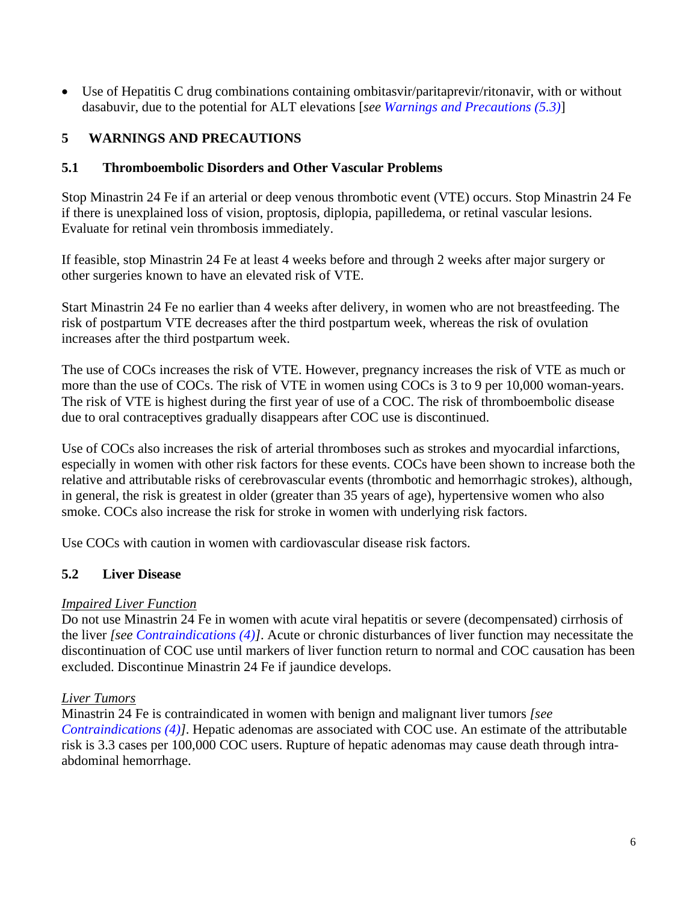• Use of Hepatitis C drug combinations containing ombitasvir/paritaprevir/ritonavir, with or without dasabuvir, due to the potential for ALT elevations [*see [Warnings and Precautions \(5.3\)](#page-6-3)*]

#### **5 WARNINGS AND PRECAUTIONS**

#### <span id="page-5-0"></span>**5.1 Thromboembolic Disorders and Other Vascular Problems**

Stop Minastrin 24 Fe if an arterial or deep venous thrombotic event (VTE) occurs. Stop Minastrin 24 Fe if there is unexplained loss of vision, proptosis, diplopia, papilledema, or retinal vascular lesions. Evaluate for retinal vein thrombosis immediately.

If feasible, stop Minastrin 24 Fe at least 4 weeks before and through 2 weeks after major surgery or other surgeries known to have an elevated risk of VTE.

Start Minastrin 24 Fe no earlier than 4 weeks after delivery, in women who are not breastfeeding. The risk of postpartum VTE decreases after the third postpartum week, whereas the risk of ovulation increases after the third postpartum week.

The use of COCs increases the risk of VTE. However, pregnancy increases the risk of VTE as much or more than the use of COCs. The risk of VTE in women using COCs is 3 to 9 per 10,000 woman-years. The risk of VTE is highest during the first year of use of a COC. The risk of thromboembolic disease due to oral contraceptives gradually disappears after COC use is discontinued.

Use of COCs also increases the risk of arterial thromboses such as strokes and myocardial infarctions, especially in women with other risk factors for these events. COCs have been shown to increase both the relative and attributable risks of cerebrovascular events (thrombotic and hemorrhagic strokes), although, in general, the risk is greatest in older (greater than 35 years of age), hypertensive women who also smoke. COCs also increase the risk for stroke in women with underlying risk factors.

Use COCs with caution in women with cardiovascular disease risk factors.

#### <span id="page-5-1"></span>**5.2 Liver Disease**

#### *Impaired Liver Function*

Do not use Minastrin 24 Fe in women with acute viral hepatitis or severe (decompensated) cirrhosis of the liver *[see [Contraindications \(4\)\]](#page-4-0)*. Acute or chronic disturbances of liver function may necessitate the discontinuation of COC use until markers of liver function return to normal and COC causation has been excluded. Discontinue Minastrin 24 Fe if jaundice develops.

#### *Liver Tumors*

Minastrin 24 Fe is contraindicated in women with benign and malignant liver tumors *[see [Contraindications \(4\)\]](#page-4-0)*. Hepatic adenomas are associated with COC use. An estimate of the attributable risk is 3.3 cases per 100,000 COC users. Rupture of hepatic adenomas may cause death through intraabdominal hemorrhage.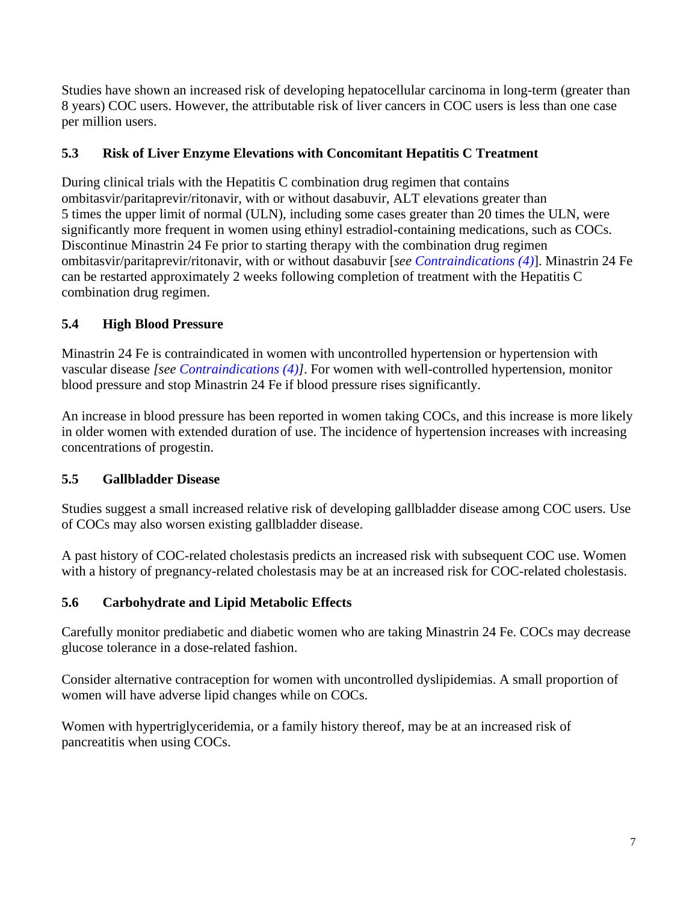Studies have shown an increased risk of developing hepatocellular carcinoma in long-term (greater than 8 years) COC users. However, the attributable risk of liver cancers in COC users is less than one case per million users.

#### <span id="page-6-3"></span>**5.3 Risk of Liver Enzyme Elevations with Concomitant Hepatitis C Treatment**

During clinical trials with the Hepatitis C combination drug regimen that contains ombitasvir/paritaprevir/ritonavir, with or without dasabuvir, ALT elevations greater than 5 times the upper limit of normal (ULN), including some cases greater than 20 times the ULN, were significantly more frequent in women using ethinyl estradiol-containing medications, such as COCs. Discontinue Minastrin 24 Fe prior to starting therapy with the combination drug regimen ombitasvir/paritaprevir/ritonavir, with or without dasabuvir [*see [Contraindications \(4\)](#page-4-0)*]. Minastrin 24 Fe can be restarted approximately 2 weeks following completion of treatment with the Hepatitis C combination drug regimen.

### <span id="page-6-2"></span><span id="page-6-0"></span>**5.4 High Blood Pressure**

Minastrin 24 Fe is contraindicated in women with uncontrolled hypertension or hypertension with vascular disease *[see [Contraindications](#page-4-0) (4)]*. For women with well-controlled hypertension, monitor blood pressure and stop Minastrin 24 Fe if blood pressure rises significantly.

An increase in blood pressure has been reported in women taking COCs, and this increase is more likely in older women with extended duration of use. The incidence of hypertension increases with increasing concentrations of progestin.

## <span id="page-6-1"></span>**5.5 Gallbladder Disease**

Studies suggest a small increased relative risk of developing gallbladder disease among COC users. Use of COCs may also worsen existing gallbladder disease.

A past history of COC-related cholestasis predicts an increased risk with subsequent COC use. Women with a history of pregnancy-related cholestasis may be at an increased risk for COC-related cholestasis.

#### **5.6 Carbohydrate and Lipid Metabolic Effects**

Carefully monitor prediabetic and diabetic women who are taking Minastrin 24 Fe. COCs may decrease glucose tolerance in a dose-related fashion.

Consider alternative contraception for women with uncontrolled dyslipidemias. A small proportion of women will have adverse lipid changes while on COCs.

Women with hypertriglyceridemia, or a family history thereof, may be at an increased risk of pancreatitis when using COCs.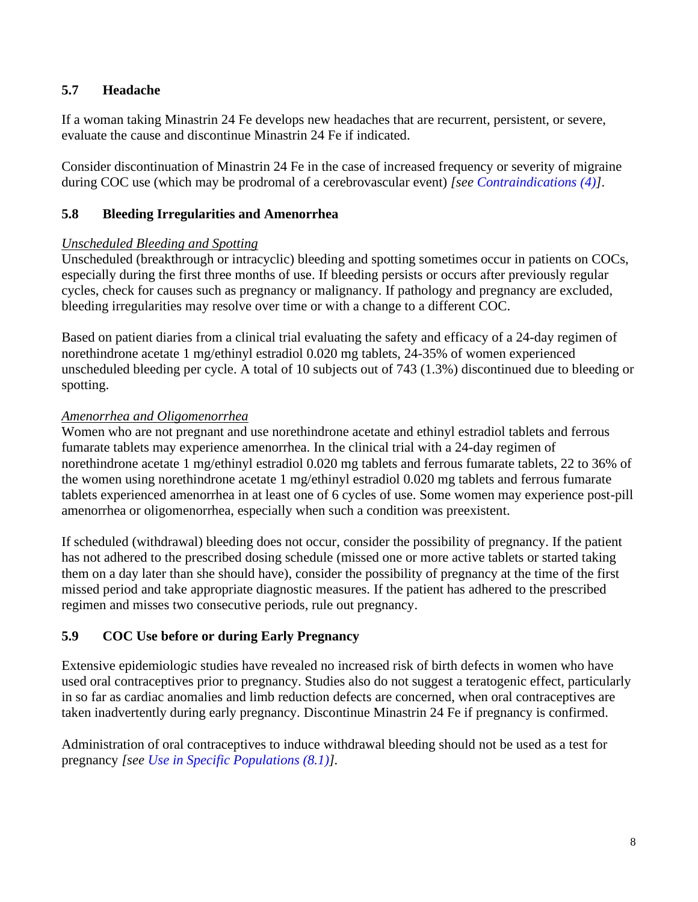#### <span id="page-7-0"></span>**5.7 Headache**

If a woman taking Minastrin 24 Fe develops new headaches that are recurrent, persistent, or severe, evaluate the cause and discontinue Minastrin 24 Fe if indicated.

Consider discontinuation of Minastrin 24 Fe in the case of increased frequency or severity of migraine during COC use (which may be prodromal of a cerebrovascular event) *[see [Contraindications \(4\)\]](#page-4-0)*.

#### <span id="page-7-1"></span>**5.8 Bleeding Irregularities and Amenorrhea**

#### *Unscheduled Bleeding and Spotting*

Unscheduled (breakthrough or intracyclic) bleeding and spotting sometimes occur in patients on COCs, especially during the first three months of use. If bleeding persists or occurs after previously regular cycles, check for causes such as pregnancy or malignancy. If pathology and pregnancy are excluded, bleeding irregularities may resolve over time or with a change to a different COC.

Based on patient diaries from a clinical trial evaluating the safety and efficacy of a 24-day regimen of norethindrone acetate 1 mg/ethinyl estradiol 0.020 mg tablets, 24-35% of women experienced unscheduled bleeding per cycle. A total of 10 subjects out of 743 (1.3%) discontinued due to bleeding or spotting.

#### *Amenorrhea and Oligomenorrhea*

Women who are not pregnant and use norethindrone acetate and ethinyl estradiol tablets and ferrous fumarate tablets may experience amenorrhea. In the clinical trial with a 24-day regimen of norethindrone acetate 1 mg/ethinyl estradiol 0.020 mg tablets and ferrous fumarate tablets, 22 to 36% of the women using norethindrone acetate 1 mg/ethinyl estradiol 0.020 mg tablets and ferrous fumarate tablets experienced amenorrhea in at least one of 6 cycles of use. Some women may experience post-pill amenorrhea or oligomenorrhea, especially when such a condition was preexistent.

If scheduled (withdrawal) bleeding does not occur, consider the possibility of pregnancy. If the patient has not adhered to the prescribed dosing schedule (missed one or more active tablets or started taking them on a day later than she should have), consider the possibility of pregnancy at the time of the first missed period and take appropriate diagnostic measures. If the patient has adhered to the prescribed regimen and misses two consecutive periods, rule out pregnancy.

#### **5.9 COC Use before or during Early Pregnancy**

Extensive epidemiologic studies have revealed no increased risk of birth defects in women who have used oral contraceptives prior to pregnancy. Studies also do not suggest a teratogenic effect, particularly in so far as cardiac anomalies and limb reduction defects are concerned, when oral contraceptives are taken inadvertently during early pregnancy. Discontinue Minastrin 24 Fe if pregnancy is confirmed.

Administration of oral contraceptives to induce withdrawal bleeding should not be used as a test for pregnancy *[see [Use in Specific Populations \(8.1\)\]](#page-12-1).*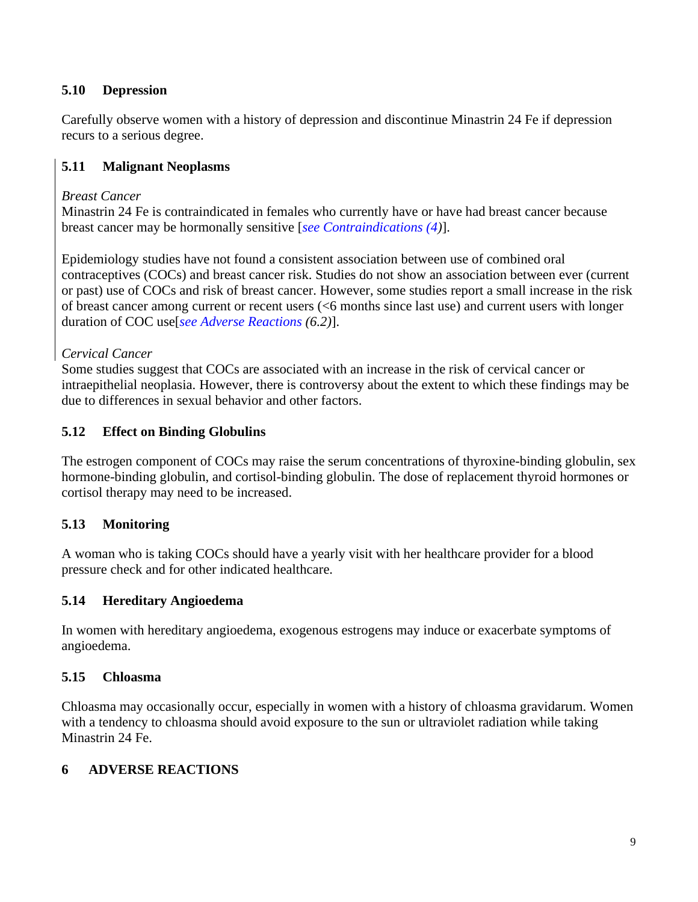#### <span id="page-8-0"></span>**5.10 Depression**

Carefully observe women with a history of depression and discontinue Minastrin 24 Fe if depression recurs to a serious degree.

#### **5.11 Malignant Neoplasms**

#### *Breast Cancer*

Minastrin 24 Fe is contraindicated in females who currently have or have had breast cancer because breast cancer may be hormonally sensitive [*[see Contraindications \(4\)](#page-4-0)*].

Epidemiology studies have not found a consistent association between use of combined oral contraceptives (COCs) and breast cancer risk. Studies do not show an association between ever (current or past) use of COCs and risk of breast cancer. However, some studies report a small increase in the risk of breast cancer among current or recent users (<6 months since last use) and current users with longer duration of COC use[*[see Adverse](#page-9-1) Reactions (6.2)*].

#### *Cervical Cancer*

Some studies suggest that COCs are associated with an increase in the risk of cervical cancer or intraepithelial neoplasia. However, there is controversy about the extent to which these findings may be due to differences in sexual behavior and other factors.

#### **5.12 Effect on Binding Globulins**

The estrogen component of COCs may raise the serum concentrations of thyroxine-binding globulin, sex hormone-binding globulin, and cortisol-binding globulin. The dose of replacement thyroid hormones or cortisol therapy may need to be increased.

#### **5.13 Monitoring**

A woman who is taking COCs should have a yearly visit with her healthcare provider for a blood pressure check and for other indicated healthcare.

#### **5.14 Hereditary Angioedema**

In women with hereditary angioedema, exogenous estrogens may induce or exacerbate symptoms of angioedema.

#### **5.15 Chloasma**

Chloasma may occasionally occur, especially in women with a history of chloasma gravidarum. Women with a tendency to chloasma should avoid exposure to the sun or ultraviolet radiation while taking Minastrin 24 Fe.

#### **6 ADVERSE REACTIONS**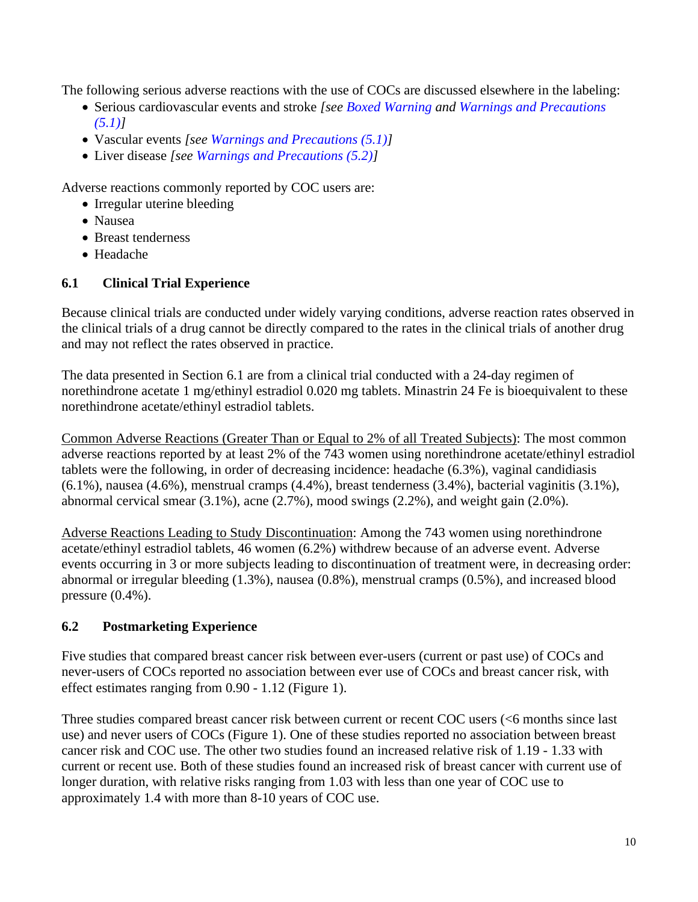The following serious adverse reactions with the use of COCs are discussed elsewhere in the labeling:

- Serious cardiovascular events and stroke *[see [Boxed Warning](#page-2-0) and [Warnings and Precautions](#page-5-0)  [\(5.1\)\]](#page-5-0)*
- Vascular events *[see [Warnings and Precautions \(5.1\)\]](#page-5-0)*
- Liver disease *[see Warnings and [Precautions \(5.2\)\]](#page-5-1)*

Adverse reactions commonly reported by COC users are:

- Irregular uterine bleeding
- Nausea
- Breast tenderness
- Headache

## <span id="page-9-0"></span>**6.1 Clinical Trial Experience**

Because clinical trials are conducted under widely varying conditions, adverse reaction rates observed in the clinical trials of a drug cannot be directly compared to the rates in the clinical trials of another drug and may not reflect the rates observed in practice.

The data presented in Section 6.1 are from a clinical trial conducted with a 24-day regimen of norethindrone acetate 1 mg/ethinyl estradiol 0.020 mg tablets. Minastrin 24 Fe is bioequivalent to these norethindrone acetate/ethinyl estradiol tablets.

Common Adverse Reactions (Greater Than or Equal to 2% of all Treated Subjects): The most common adverse reactions reported by at least 2% of the 743 women using norethindrone acetate/ethinyl estradiol tablets were the following, in order of decreasing incidence: headache (6.3%), vaginal candidiasis (6.1%), nausea (4.6%), menstrual cramps (4.4%), breast tenderness (3.4%), bacterial vaginitis (3.1%), abnormal cervical smear (3.1%), acne (2.7%), mood swings (2.2%), and weight gain (2.0%).

Adverse Reactions Leading to Study Discontinuation: Among the 743 women using norethindrone acetate/ethinyl estradiol tablets, 46 women (6.2%) withdrew because of an adverse event. Adverse events occurring in 3 or more subjects leading to discontinuation of treatment were, in decreasing order: abnormal or irregular bleeding (1.3%), nausea (0.8%), menstrual cramps (0.5%), and increased blood pressure (0.4%).

## <span id="page-9-1"></span>**6.2 Postmarketing Experience**

Five studies that compared breast cancer risk between ever-users (current or past use) of COCs and never-users of COCs reported no association between ever use of COCs and breast cancer risk, with effect estimates ranging from 0.90 - 1.12 (Figure 1).

Three studies compared breast cancer risk between current or recent COC users (<6 months since last use) and never users of COCs (Figure 1). One of these studies reported no association between breast cancer risk and COC use. The other two studies found an increased relative risk of 1.19 - 1.33 with current or recent use. Both of these studies found an increased risk of breast cancer with current use of longer duration, with relative risks ranging from 1.03 with less than one year of COC use to approximately 1.4 with more than 8-10 years of COC use.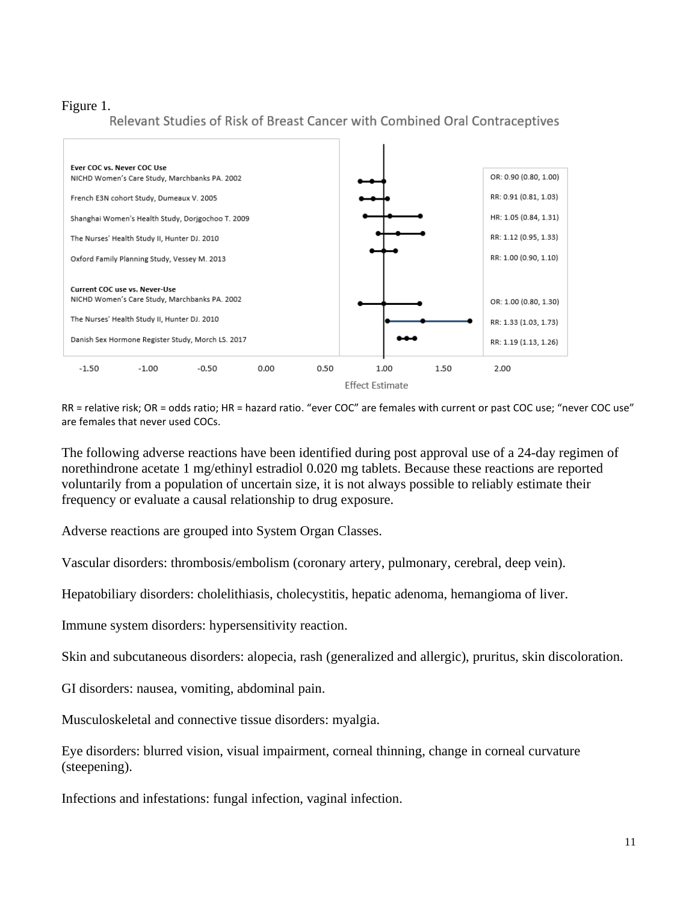# Figure 1.<br>Relevant Studies of Risk of Breast Cancer with Combined Oral Contraceptives



RR = relative risk; OR = odds ratio; HR = hazard ratio. "ever COC" are females with current or past COC use; "never COC use" are females that never used COCs.

The following adverse reactions have been identified during post approval use of a 24-day regimen of norethindrone acetate 1 mg/ethinyl estradiol 0.020 mg tablets. Because these reactions are reported voluntarily from a population of uncertain size, it is not always possible to reliably estimate their frequency or evaluate a causal relationship to drug exposure.

Adverse reactions are grouped into System Organ Classes.

Vascular disorders: thrombosis/embolism (coronary artery, pulmonary, cerebral, deep vein).

Hepatobiliary disorders: cholelithiasis, cholecystitis, hepatic adenoma, hemangioma of liver.

Immune system disorders: hypersensitivity reaction.

Skin and subcutaneous disorders: alopecia, rash (generalized and allergic), pruritus, skin discoloration.

GI disorders: nausea, vomiting, abdominal pain.

Musculoskeletal and connective tissue disorders: myalgia.

Eye disorders: blurred vision, visual impairment, corneal thinning, change in corneal curvature (steepening).

Infections and infestations: fungal infection, vaginal infection.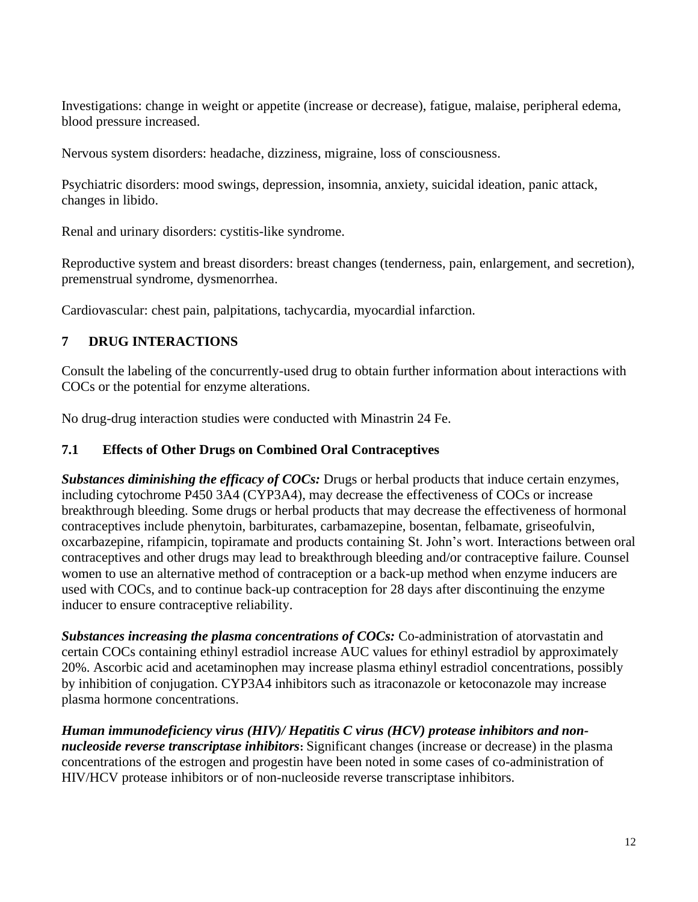Investigations: change in weight or appetite (increase or decrease), fatigue, malaise, peripheral edema, blood pressure increased.

Nervous system disorders: headache, dizziness, migraine, loss of consciousness.

Psychiatric disorders: mood swings, depression, insomnia, anxiety, suicidal ideation, panic attack, changes in libido.

Renal and urinary disorders: cystitis-like syndrome.

Reproductive system and breast disorders: breast changes (tenderness, pain, enlargement, and secretion), premenstrual syndrome, dysmenorrhea.

Cardiovascular: chest pain, palpitations, tachycardia, myocardial infarction.

### **7 DRUG INTERACTIONS**

Consult the labeling of the concurrently-used drug to obtain further information about interactions with COCs or the potential for enzyme alterations.

No drug-drug interaction studies were conducted with Minastrin 24 Fe.

#### <span id="page-11-0"></span>**7.1 Effects of Other Drugs on Combined Oral Contraceptives**

*Substances diminishing the efficacy of COCs:* Drugs or herbal products that induce certain enzymes, including cytochrome P450 3A4 (CYP3A4), may decrease the effectiveness of COCs or increase breakthrough bleeding. Some drugs or herbal products that may decrease the effectiveness of hormonal contraceptives include phenytoin, barbiturates, carbamazepine, bosentan, felbamate, griseofulvin, oxcarbazepine, rifampicin, topiramate and products containing St. John's wort. Interactions between oral contraceptives and other drugs may lead to breakthrough bleeding and/or contraceptive failure. Counsel women to use an alternative method of contraception or a back-up method when enzyme inducers are used with COCs, and to continue back-up contraception for 28 days after discontinuing the enzyme inducer to ensure contraceptive reliability.

*Substances increasing the plasma concentrations of COCs:* Co-administration of atorvastatin and certain COCs containing ethinyl estradiol increase AUC values for ethinyl estradiol by approximately 20%. Ascorbic acid and acetaminophen may increase plasma ethinyl estradiol concentrations, possibly by inhibition of conjugation. CYP3A4 inhibitors such as itraconazole or ketoconazole may increase plasma hormone concentrations.

*Human immunodeficiency virus (HIV)/ Hepatitis C virus (HCV) protease inhibitors and nonnucleoside reverse transcriptase inhibitors***:** Significant changes (increase or decrease) in the plasma concentrations of the estrogen and progestin have been noted in some cases of co-administration of HIV/HCV protease inhibitors or of non-nucleoside reverse transcriptase inhibitors.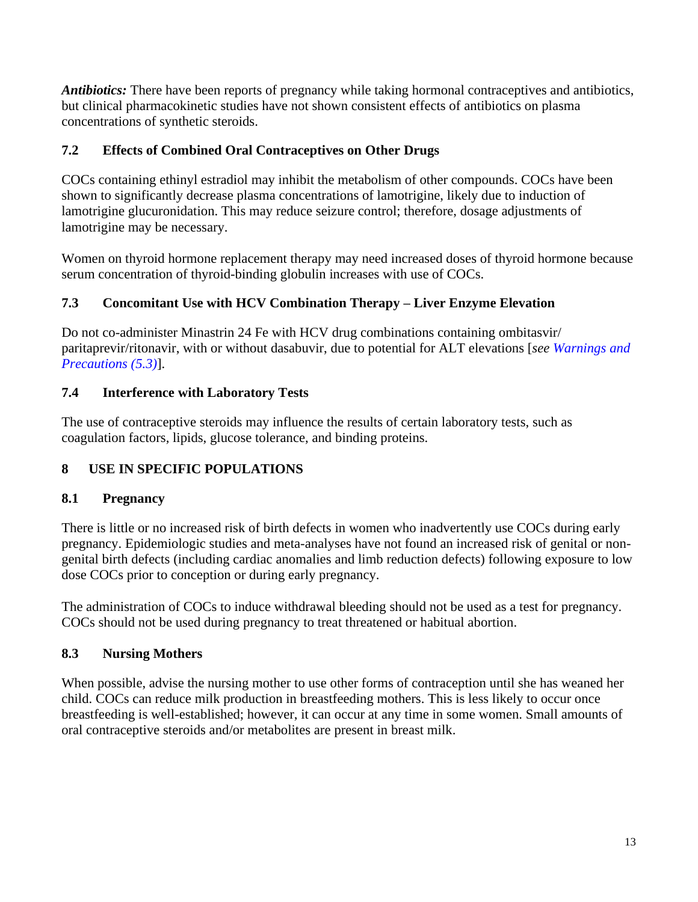*Antibiotics:* There have been reports of pregnancy while taking hormonal contraceptives and antibiotics, but clinical pharmacokinetic studies have not shown consistent effects of antibiotics on plasma concentrations of synthetic steroids.

#### **7.2 Effects of Combined Oral Contraceptives on Other Drugs**

COCs containing ethinyl estradiol may inhibit the metabolism of other compounds. COCs have been shown to significantly decrease plasma concentrations of lamotrigine, likely due to induction of lamotrigine glucuronidation. This may reduce seizure control; therefore, dosage adjustments of lamotrigine may be necessary.

Women on thyroid hormone replacement therapy may need increased doses of thyroid hormone because serum concentration of thyroid-binding globulin increases with use of COCs.

### **7.3 Concomitant Use with HCV Combination Therapy – Liver Enzyme Elevation**

Do not co-administer Minastrin 24 Fe with HCV drug combinations containing ombitasvir/ paritaprevir/ritonavir, with or without dasabuvir, due to potential for ALT elevations [*see [Warnings and](#page-6-3)  [Precautions \(5.3\)](#page-6-3)*].

### **7.4 Interference with Laboratory Tests**

The use of contraceptive steroids may influence the results of certain laboratory tests, such as coagulation factors, lipids, glucose tolerance, and binding proteins.

## **8 USE IN SPECIFIC POPULATIONS**

#### <span id="page-12-1"></span>**8.1 Pregnancy**

There is little or no increased risk of birth defects in women who inadvertently use COCs during early pregnancy. Epidemiologic studies and meta-analyses have not found an increased risk of genital or nongenital birth defects (including cardiac anomalies and limb reduction defects) following exposure to low dose COCs prior to conception or during early pregnancy.

The administration of COCs to induce withdrawal bleeding should not be used as a test for pregnancy. COCs should not be used during pregnancy to treat threatened or habitual abortion.

## <span id="page-12-0"></span>**8.3 Nursing Mothers**

When possible, advise the nursing mother to use other forms of contraception until she has weaned her child. COCs can reduce milk production in breastfeeding mothers. This is less likely to occur once breastfeeding is well-established; however, it can occur at any time in some women. Small amounts of oral contraceptive steroids and/or metabolites are present in breast milk.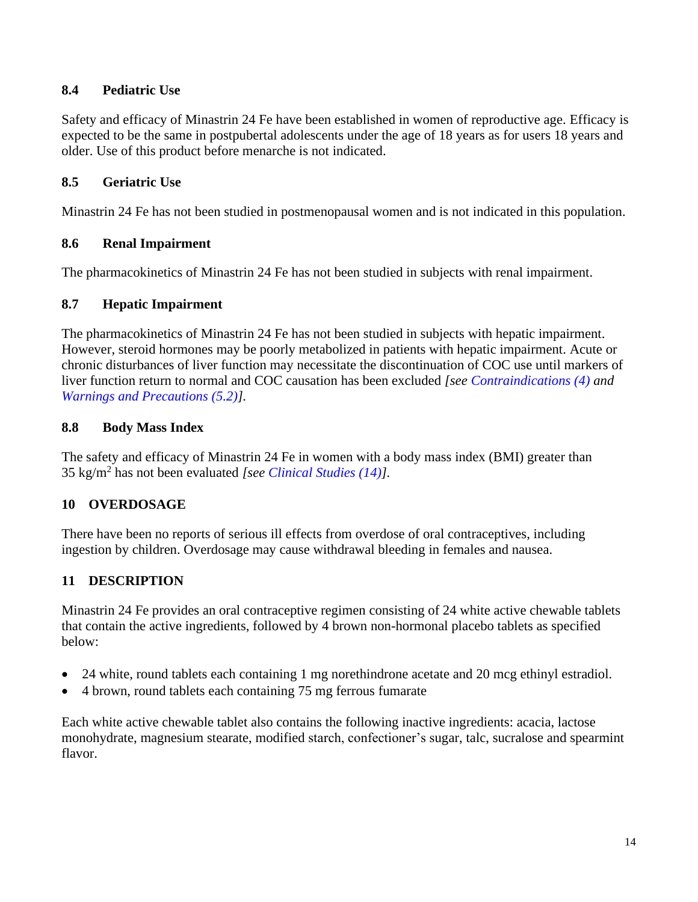#### **8.4 Pediatric Use**

Safety and efficacy of Minastrin 24 Fe have been established in women of reproductive age. Efficacy is expected to be the same in postpubertal adolescents under the age of 18 years as for users 18 years and older. Use of this product before menarche is not indicated.

#### **8.5 Geriatric Use**

Minastrin 24 Fe has not been studied in postmenopausal women and is not indicated in this population.

#### **8.6 Renal Impairment**

The pharmacokinetics of Minastrin 24 Fe has not been studied in subjects with renal impairment.

#### **8.7 Hepatic Impairment**

The pharmacokinetics of Minastrin 24 Fe has not been studied in subjects with hepatic impairment. However, steroid hormones may be poorly metabolized in patients with hepatic impairment. Acute or chronic disturbances of liver function may necessitate the discontinuation of COC use until markers of liver function return to normal and COC causation has been excluded *[see [Contraindications \(4\)](#page-4-0) and [Warnings and Precautions](#page-5-1) (5.2)].*

#### <span id="page-13-0"></span>**8.8 Body Mass Index**

The safety and efficacy of Minastrin 24 Fe in women with a body mass index (BMI) greater than 35 kg/m<sup>2</sup> has not been evaluated *[see [Clinical Studies \(14\)\]](#page-19-0).*

#### **10 OVERDOSAGE**

There have been no reports of serious ill effects from overdose of oral contraceptives, including ingestion by children. Overdosage may cause withdrawal bleeding in females and nausea.

## **11 DESCRIPTION**

Minastrin 24 Fe provides an oral contraceptive regimen consisting of 24 white active chewable tablets that contain the active ingredients, followed by 4 brown non-hormonal placebo tablets as specified below:

- 24 white, round tablets each containing 1 mg norethindrone acetate and 20 mcg ethinyl estradiol.
- 4 brown, round tablets each containing 75 mg ferrous fumarate

Each white active chewable tablet also contains the following inactive ingredients: acacia, lactose monohydrate, magnesium stearate, modified starch, confectioner's sugar, talc, sucralose and spearmint flavor.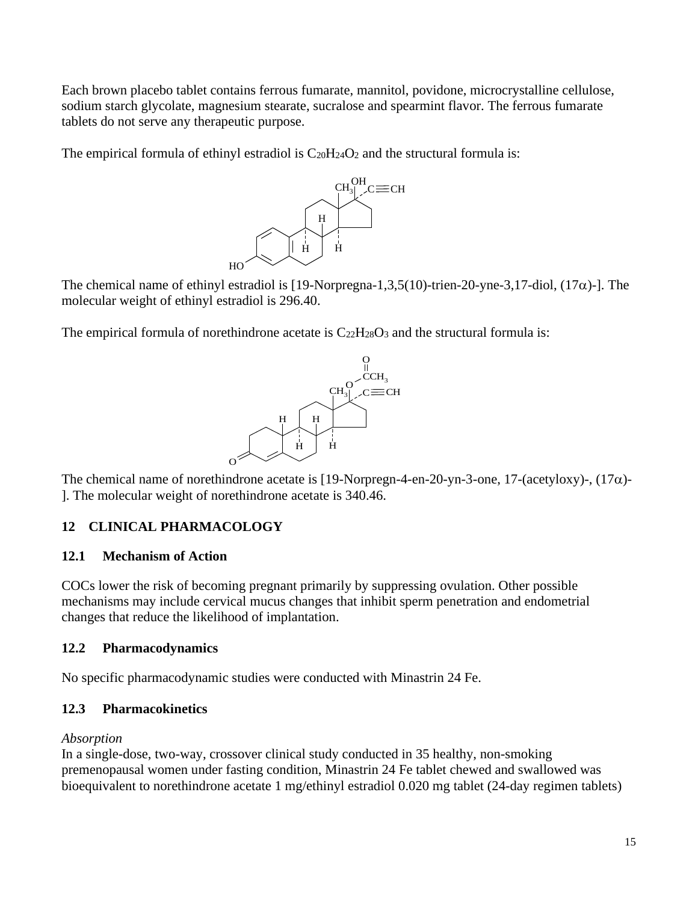Each brown placebo tablet contains ferrous fumarate, mannitol, povidone, microcrystalline cellulose, sodium starch glycolate, magnesium stearate, sucralose and spearmint flavor. The ferrous fumarate tablets do not serve any therapeutic purpose.

The empirical formula of ethinyl estradiol is  $C_{20}H_{24}O_2$  and the structural formula is:



The chemical name of ethinyl estradiol is [19-Norpregna-1,3,5(10)-trien-20-yne-3,17-diol, (17 $\alpha$ )-]. The molecular weight of ethinyl estradiol is 296.40.

The empirical formula of norethindrone acetate is  $C_{22}H_{28}O_3$  and the structural formula is:



The chemical name of norethindrone acetate is [19-Norpregn-4-en-20-yn-3-one, 17-(acetyloxy)-,  $(17\alpha)$ -]. The molecular weight of norethindrone acetate is 340.46.

## **12 CLINICAL PHARMACOLOGY**

#### **12.1 Mechanism of Action**

COCs lower the risk of becoming pregnant primarily by suppressing ovulation. Other possible mechanisms may include cervical mucus changes that inhibit sperm penetration and endometrial changes that reduce the likelihood of implantation.

#### **12.2 Pharmacodynamics**

No specific pharmacodynamic studies were conducted with Minastrin 24 Fe.

#### <span id="page-14-0"></span>**12.3 Pharmacokinetics**

#### *Absorption*

In a single-dose, two-way, crossover clinical study conducted in 35 healthy, non-smoking premenopausal women under fasting condition, Minastrin 24 Fe tablet chewed and swallowed was bioequivalent to norethindrone acetate 1 mg/ethinyl estradiol 0.020 mg tablet (24-day regimen tablets)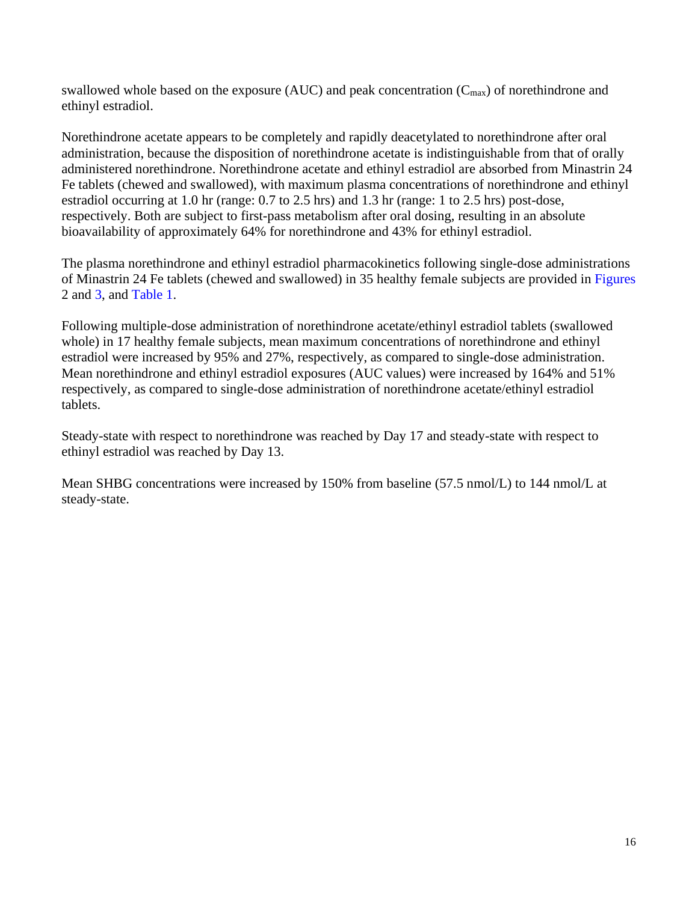swallowed whole based on the exposure (AUC) and peak concentration  $(C_{\text{max}})$  of norethindrone and ethinyl estradiol.

Norethindrone acetate appears to be completely and rapidly deacetylated to norethindrone after oral administration, because the disposition of norethindrone acetate is indistinguishable from that of orally administered norethindrone. Norethindrone acetate and ethinyl estradiol are absorbed from Minastrin 24 Fe tablets (chewed and swallowed), with maximum plasma concentrations of norethindrone and ethinyl estradiol occurring at 1.0 hr (range: 0.7 to 2.5 hrs) and 1.3 hr (range: 1 to 2.5 hrs) post-dose, respectively. Both are subject to first-pass metabolism after oral dosing, resulting in an absolute bioavailability of approximately 64% for norethindrone and 43% for ethinyl estradiol.

The plasma norethindrone and ethinyl estradiol pharmacokinetics following single-dose administrations of Minastrin 24 Fe tablets (chewed and swallowed) in 35 healthy female subjects are provided in [Figures](#page-16-0) 2 and [3,](#page-17-0) and [Table 1.](#page-18-0)

Following multiple-dose administration of norethindrone acetate/ethinyl estradiol tablets (swallowed whole) in 17 healthy female subjects, mean maximum concentrations of norethindrone and ethinyl estradiol were increased by 95% and 27%, respectively, as compared to single-dose administration. Mean norethindrone and ethinyl estradiol exposures (AUC values) were increased by 164% and 51% respectively, as compared to single-dose administration of norethindrone acetate/ethinyl estradiol tablets.

Steady-state with respect to norethindrone was reached by Day 17 and steady-state with respect to ethinyl estradiol was reached by Day 13.

Mean SHBG concentrations were increased by 150% from baseline (57.5 nmol/L) to 144 nmol/L at steady-state.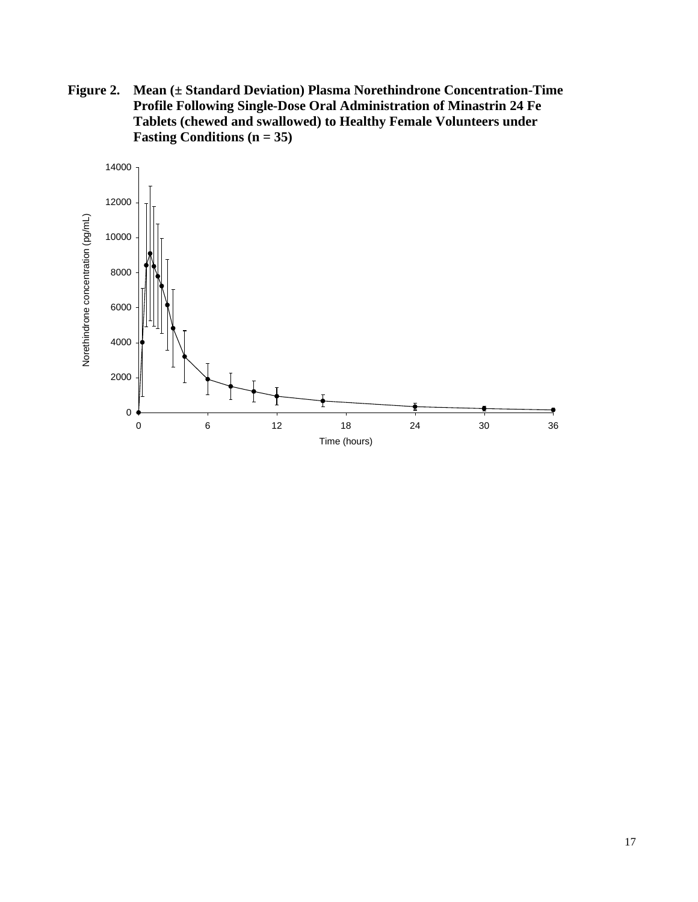<span id="page-16-0"></span>**Figure 2. Mean (± Standard Deviation) Plasma Norethindrone Concentration-Time Profile Following Single-Dose Oral Administration of Minastrin 24 Fe Tablets (chewed and swallowed) to Healthy Female Volunteers under Fasting Conditions (n = 35)**

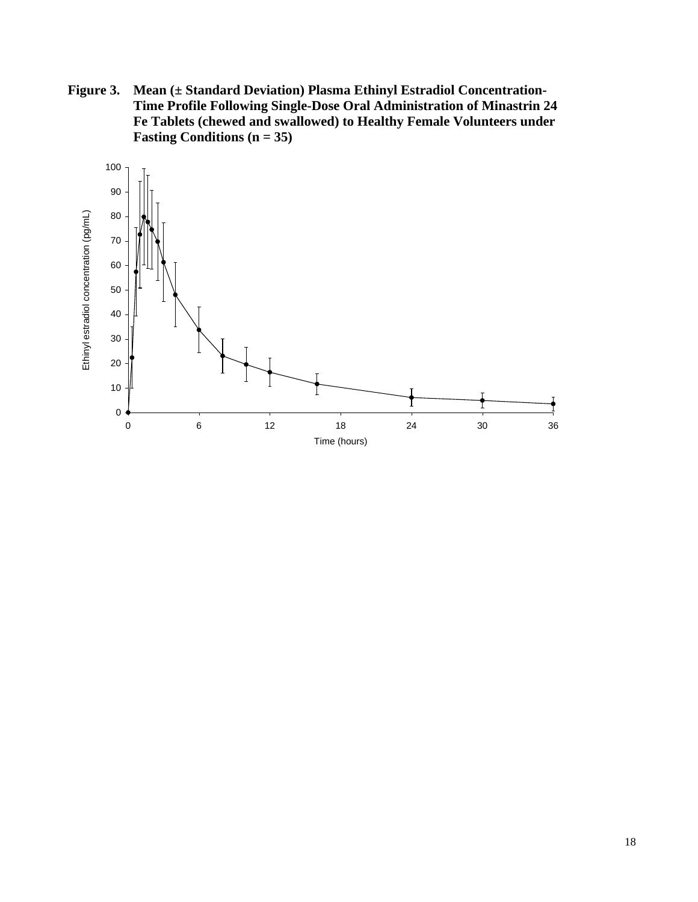<span id="page-17-0"></span>**Figure 3. Mean (± Standard Deviation) Plasma Ethinyl Estradiol Concentration-Time Profile Following Single-Dose Oral Administration of Minastrin 24 Fe Tablets (chewed and swallowed) to Healthy Female Volunteers under Fasting Conditions (n = 35)**

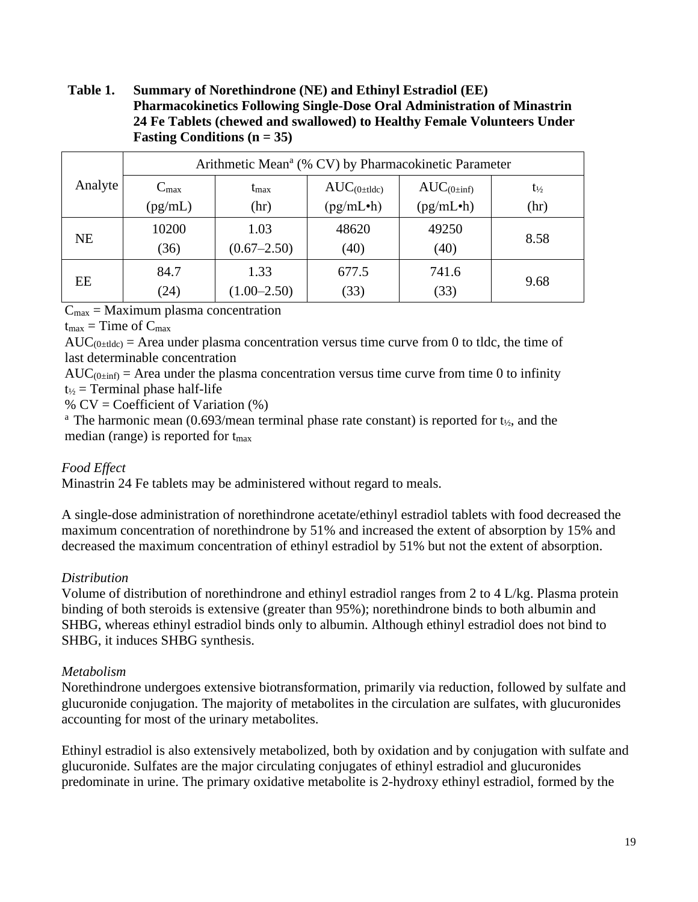#### <span id="page-18-0"></span>**Table 1. Summary of Norethindrone (NE) and Ethinyl Estradiol (EE) Pharmacokinetics Following Single-Dose Oral Administration of Minastrin 24 Fe Tablets (chewed and swallowed) to Healthy Female Volunteers Under Fasting Conditions (n = 35)**

| Analyte   | Arithmetic Mean <sup>a</sup> (% CV) by Pharmacokinetic Parameter |                 |                             |                        |                   |
|-----------|------------------------------------------------------------------|-----------------|-----------------------------|------------------------|-------------------|
|           | $C_{\text{max}}$                                                 | $t_{\rm max}$   | $AUC_{(0 \pm 11\text{dc})}$ | $AUC_{(0\pm inf)}$     | $t_{\frac{1}{2}}$ |
|           | (pg/mL)                                                          | (hr)            | (pg/mL•h)                   | (pg/mL <sup>•</sup> h) | (hr)              |
| <b>NE</b> | 10200                                                            | 1.03            | 48620                       | 49250                  | 8.58              |
|           | (36)                                                             | $(0.67 - 2.50)$ | (40)                        | (40)                   |                   |
| EE        | 84.7                                                             | 1.33            | 677.5                       | 741.6                  | 9.68              |
|           | (24)                                                             | $(1.00 - 2.50)$ | (33)                        | (33)                   |                   |

 $C_{\text{max}}$  = Maximum plasma concentration

 $t_{\text{max}}$  = Time of  $C_{\text{max}}$ 

 $AUC_{(0:tide)} = Area$  under plasma concentration versus time curve from 0 to tldc, the time of last determinable concentration

 $AUC_{(0\pm inf)} =$  Area under the plasma concentration versus time curve from time 0 to infinity  $t_{1/2}$  = Terminal phase half-life

%  $CV = Coefficient of Variation (%)$ 

<sup>a</sup> The harmonic mean (0.693/mean terminal phase rate constant) is reported for  $t_{\gamma}$ , and the median (range) is reported for tmax

#### *Food Effect*

Minastrin 24 Fe tablets may be administered without regard to meals.

A single-dose administration of norethindrone acetate/ethinyl estradiol tablets with food decreased the maximum concentration of norethindrone by 51% and increased the extent of absorption by 15% and decreased the maximum concentration of ethinyl estradiol by 51% but not the extent of absorption.

#### *Distribution*

Volume of distribution of norethindrone and ethinyl estradiol ranges from 2 to 4 L/kg. Plasma protein binding of both steroids is extensive (greater than 95%); norethindrone binds to both albumin and SHBG, whereas ethinyl estradiol binds only to albumin. Although ethinyl estradiol does not bind to SHBG, it induces SHBG synthesis.

#### *Metabolism*

Norethindrone undergoes extensive biotransformation, primarily via reduction, followed by sulfate and glucuronide conjugation. The majority of metabolites in the circulation are sulfates, with glucuronides accounting for most of the urinary metabolites.

Ethinyl estradiol is also extensively metabolized, both by oxidation and by conjugation with sulfate and glucuronide. Sulfates are the major circulating conjugates of ethinyl estradiol and glucuronides predominate in urine. The primary oxidative metabolite is 2-hydroxy ethinyl estradiol, formed by the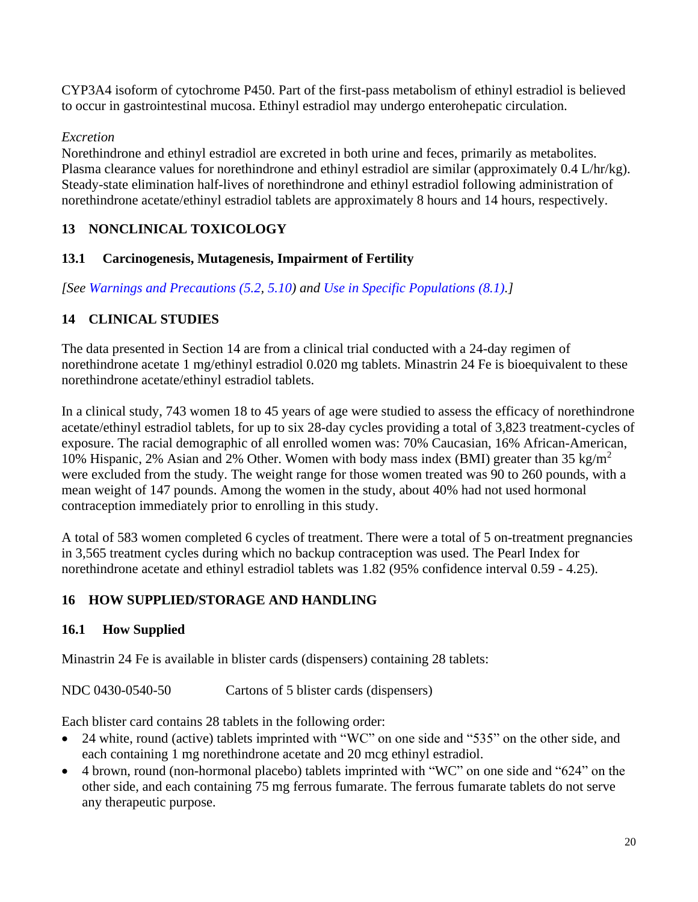CYP3A4 isoform of cytochrome P450. Part of the first-pass metabolism of ethinyl estradiol is believed to occur in gastrointestinal mucosa. Ethinyl estradiol may undergo enterohepatic circulation.

#### *Excretion*

Norethindrone and ethinyl estradiol are excreted in both urine and feces, primarily as metabolites. Plasma clearance values for norethindrone and ethinyl estradiol are similar (approximately 0.4 L/hr/kg). Steady-state elimination half-lives of norethindrone and ethinyl estradiol following administration of norethindrone acetate/ethinyl estradiol tablets are approximately 8 hours and 14 hours, respectively.

## **13 NONCLINICAL TOXICOLOGY**

#### **13.1 Carcinogenesis, Mutagenesis, Impairment of Fertility**

*[See [Warnings and Precautions \(5.2,](#page-5-1) [5.10\)](#page-8-0) and [Use in Specific Populations \(8.1\).](#page-12-1)]*

### <span id="page-19-0"></span>**14 CLINICAL STUDIES**

The data presented in Section 14 are from a clinical trial conducted with a 24-day regimen of norethindrone acetate 1 mg/ethinyl estradiol 0.020 mg tablets. Minastrin 24 Fe is bioequivalent to these norethindrone acetate/ethinyl estradiol tablets.

In a clinical study, 743 women 18 to 45 years of age were studied to assess the efficacy of norethindrone acetate/ethinyl estradiol tablets, for up to six 28-day cycles providing a total of 3,823 treatment-cycles of exposure. The racial demographic of all enrolled women was: 70% Caucasian, 16% African-American, 10% Hispanic, 2% Asian and 2% Other. Women with body mass index (BMI) greater than 35 kg/m<sup>2</sup> were excluded from the study. The weight range for those women treated was 90 to 260 pounds, with a mean weight of 147 pounds. Among the women in the study, about 40% had not used hormonal contraception immediately prior to enrolling in this study.

A total of 583 women completed 6 cycles of treatment. There were a total of 5 on-treatment pregnancies in 3,565 treatment cycles during which no backup contraception was used. The Pearl Index for norethindrone acetate and ethinyl estradiol tablets was 1.82 (95% confidence interval 0.59 - 4.25).

## **16 HOW SUPPLIED/STORAGE AND HANDLING**

## **16.1 How Supplied**

Minastrin 24 Fe is available in blister cards (dispensers) containing 28 tablets:

NDC 0430-0540-50 Cartons of 5 blister cards (dispensers)

Each blister card contains 28 tablets in the following order:

- 24 white, round (active) tablets imprinted with "WC" on one side and "535" on the other side, and each containing 1 mg norethindrone acetate and 20 mcg ethinyl estradiol.
- 4 brown, round (non-hormonal placebo) tablets imprinted with "WC" on one side and "624" on the other side, and each containing 75 mg ferrous fumarate. The ferrous fumarate tablets do not serve any therapeutic purpose.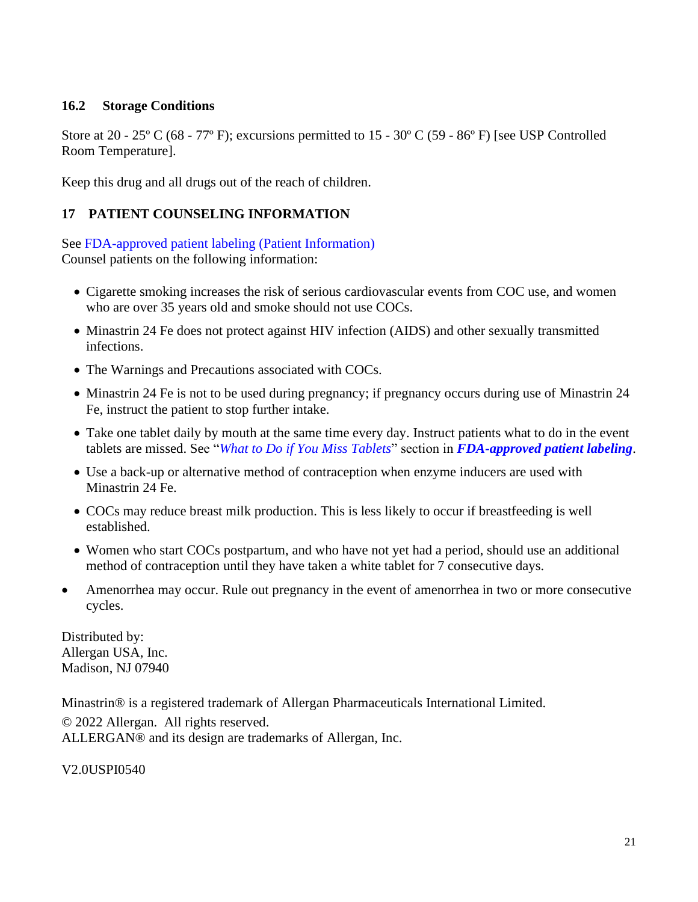#### **16.2 Storage Conditions**

Store at 20 - 25º C (68 - 77º F); excursions permitted to 15 - 30º C (59 - 86º F) [see USP Controlled Room Temperature].

Keep this drug and all drugs out of the reach of children.

#### <span id="page-20-0"></span>**17 PATIENT COUNSELING INFORMATION**

See [FDA-approved patient labeling \(Patient Information\)](#page-21-0) Counsel patients on the following information:

- Cigarette smoking increases the risk of serious cardiovascular events from COC use, and women who are over 35 years old and smoke should not use COCs.
- Minastrin 24 Fe does not protect against HIV infection (AIDS) and other sexually transmitted infections.
- The Warnings and Precautions associated with COCs.
- Minastrin 24 Fe is not to be used during pregnancy; if pregnancy occurs during use of Minastrin 24 Fe, instruct the patient to stop further intake.
- Take one tablet daily by mouth at the same time every day. Instruct patients what to do in the event tablets are missed. See "*[What to Do if You Miss Tablets](#page-25-0)*" section in *[FDA-approved patient labeling](#page-21-0)*.
- Use a back-up or alternative method of contraception when enzyme inducers are used with Minastrin 24 Fe.
- COCs may reduce breast milk production. This is less likely to occur if breastfeeding is well established.
- Women who start COCs postpartum, and who have not yet had a period, should use an additional method of contraception until they have taken a white tablet for 7 consecutive days.
- Amenorrhea may occur. Rule out pregnancy in the event of amenorrhea in two or more consecutive cycles.

Distributed by: Allergan USA, Inc. Madison, NJ 07940

Minastrin® is a registered trademark of Allergan Pharmaceuticals International Limited.

© 2022 Allergan. All rights reserved. ALLERGAN® and its design are trademarks of Allergan, Inc.

V2.0USPI0540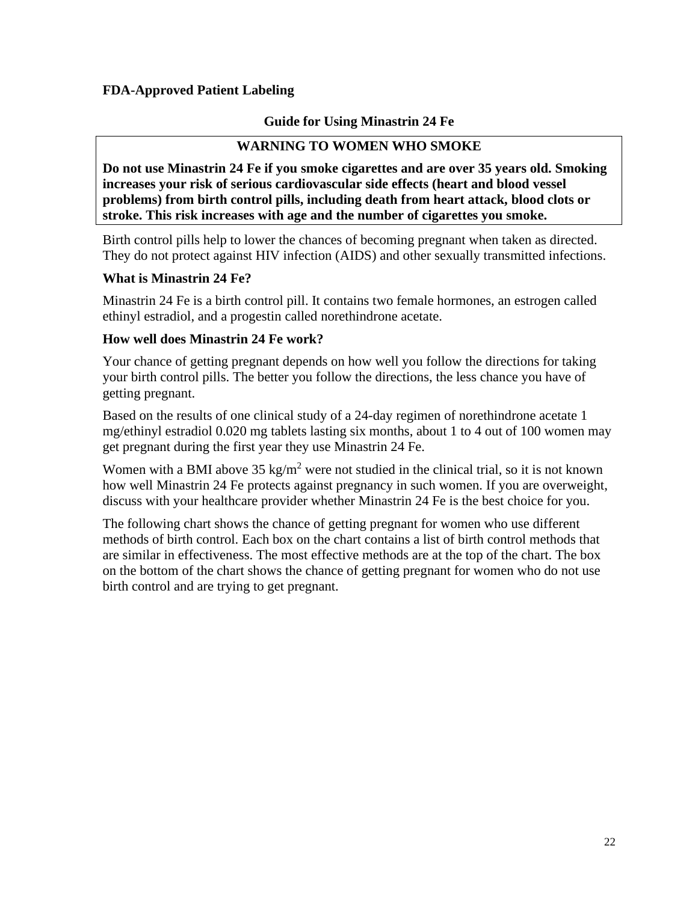#### <span id="page-21-0"></span>**FDA-Approved Patient Labeling**

#### **Guide for Using Minastrin 24 Fe**

#### **WARNING TO WOMEN WHO SMOKE**

**Do not use Minastrin 24 Fe if you smoke cigarettes and are over 35 years old. Smoking increases your risk of serious cardiovascular side effects (heart and blood vessel problems) from birth control pills, including death from heart attack, blood clots or stroke. This risk increases with age and the number of cigarettes you smoke.**

Birth control pills help to lower the chances of becoming pregnant when taken as directed. They do not protect against HIV infection (AIDS) and other sexually transmitted infections.

#### **What is Minastrin 24 Fe?**

Minastrin 24 Fe is a birth control pill. It contains two female hormones, an estrogen called ethinyl estradiol, and a progestin called norethindrone acetate.

#### **How well does Minastrin 24 Fe work?**

Your chance of getting pregnant depends on how well you follow the directions for taking your birth control pills. The better you follow the directions, the less chance you have of getting pregnant.

Based on the results of one clinical study of a 24-day regimen of norethindrone acetate 1 mg/ethinyl estradiol 0.020 mg tablets lasting six months, about 1 to 4 out of 100 women may get pregnant during the first year they use Minastrin 24 Fe.

Women with a BMI above  $35 \text{ kg/m}^2$  were not studied in the clinical trial, so it is not known how well Minastrin 24 Fe protects against pregnancy in such women. If you are overweight, discuss with your healthcare provider whether Minastrin 24 Fe is the best choice for you.

The following chart shows the chance of getting pregnant for women who use different methods of birth control. Each box on the chart contains a list of birth control methods that are similar in effectiveness. The most effective methods are at the top of the chart. The box on the bottom of the chart shows the chance of getting pregnant for women who do not use birth control and are trying to get pregnant.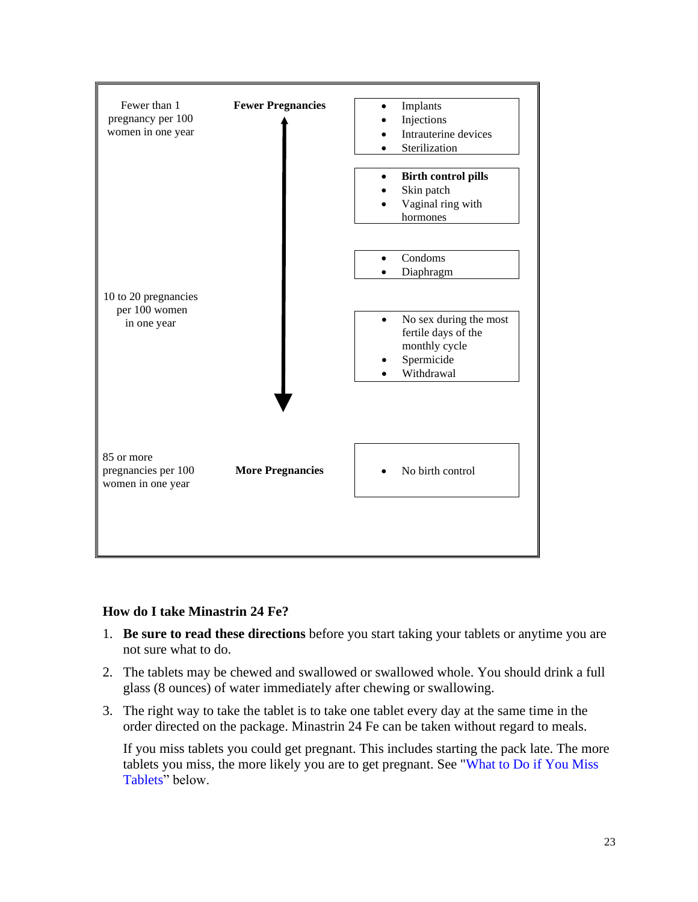

#### **How do I take Minastrin 24 Fe?**

- 1. **Be sure to read these directions** before you start taking your tablets or anytime you are not sure what to do.
- 2. The tablets may be chewed and swallowed or swallowed whole. You should drink a full glass (8 ounces) of water immediately after chewing or swallowing.
- 3. The right way to take the tablet is to take one tablet every day at the same time in the order directed on the package. Minastrin 24 Fe can be taken without regard to meals.

If you miss tablets you could get pregnant. This includes starting the pack late. The more tablets you miss, the more likely you are to get pregnant. See ["What to Do if You Miss](#page-25-0) [Tablets"](#page-25-0) below.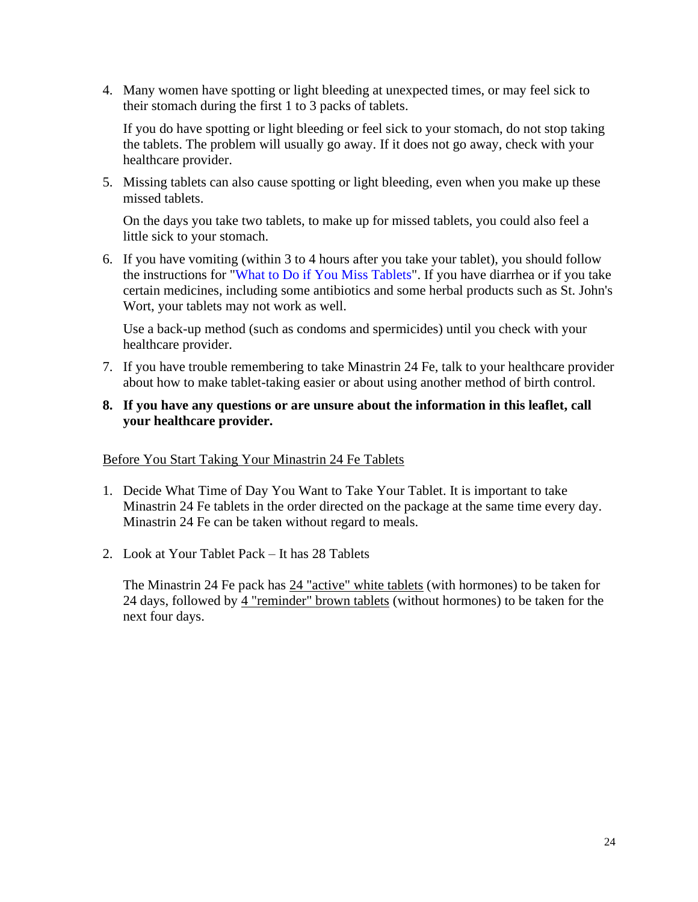4. Many women have spotting or light bleeding at unexpected times, or may feel sick to their stomach during the first 1 to 3 packs of tablets.

If you do have spotting or light bleeding or feel sick to your stomach, do not stop taking the tablets. The problem will usually go away. If it does not go away, check with your healthcare provider.

5. Missing tablets can also cause spotting or light bleeding, even when you make up these missed tablets.

On the days you take two tablets, to make up for missed tablets, you could also feel a little sick to your stomach.

6. If you have vomiting (within 3 to 4 hours after you take your tablet), you should follow the instructions for "What to [Do if You Miss Tablets"](#page-25-0). If you have diarrhea or if you take certain medicines, including some antibiotics and some herbal products such as St. John's Wort, your tablets may not work as well.

Use a back-up method (such as condoms and spermicides) until you check with your healthcare provider.

7. If you have trouble remembering to take Minastrin 24 Fe, talk to your healthcare provider about how to make tablet-taking easier or about using another method of birth control.

#### **8. If you have any questions or are unsure about the information in this leaflet, call your healthcare provider.**

#### Before You Start Taking Your Minastrin 24 Fe Tablets

- 1. Decide What Time of Day You Want to Take Your Tablet. It is important to take Minastrin 24 Fe tablets in the order directed on the package at the same time every day. Minastrin 24 Fe can be taken without regard to meals.
- 2. Look at Your Tablet Pack It has 28 Tablets

The Minastrin 24 Fe pack has 24 "active" white tablets (with hormones) to be taken for 24 days, followed by 4 "reminder" brown tablets (without hormones) to be taken for the next four days.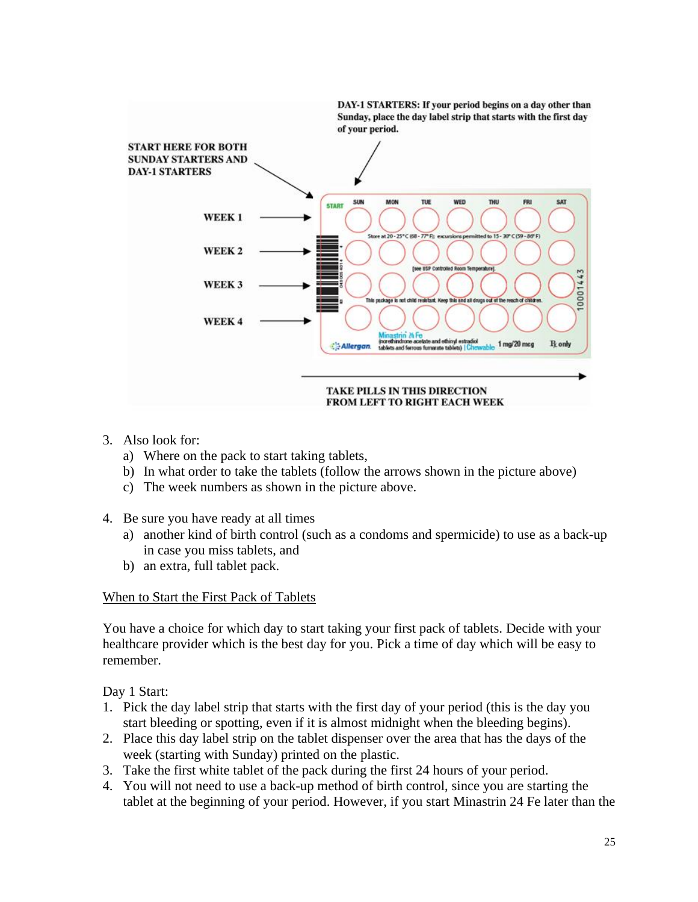

- 3. Also look for:
	- a) Where on the pack to start taking tablets,
	- b) In what order to take the tablets (follow the arrows shown in the picture above)
	- c) The week numbers as shown in the picture above.
- 4. Be sure you have ready at all times
	- a) another kind of birth control (such as a condoms and spermicide) to use as a back-up in case you miss tablets, and
	- b) an extra, full tablet pack.

#### When to Start the First Pack of Tablets

You have a choice for which day to start taking your first pack of tablets. Decide with your healthcare provider which is the best day for you. Pick a time of day which will be easy to remember.

Day 1 Start:

- 1. Pick the day label strip that starts with the first day of your period (this is the day you start bleeding or spotting, even if it is almost midnight when the bleeding begins).
- 2. Place this day label strip on the tablet dispenser over the area that has the days of the week (starting with Sunday) printed on the plastic.
- 3. Take the first white tablet of the pack during the first 24 hours of your period.
- 4. You will not need to use a back-up method of birth control, since you are starting the tablet at the beginning of your period. However, if you start Minastrin 24 Fe later than the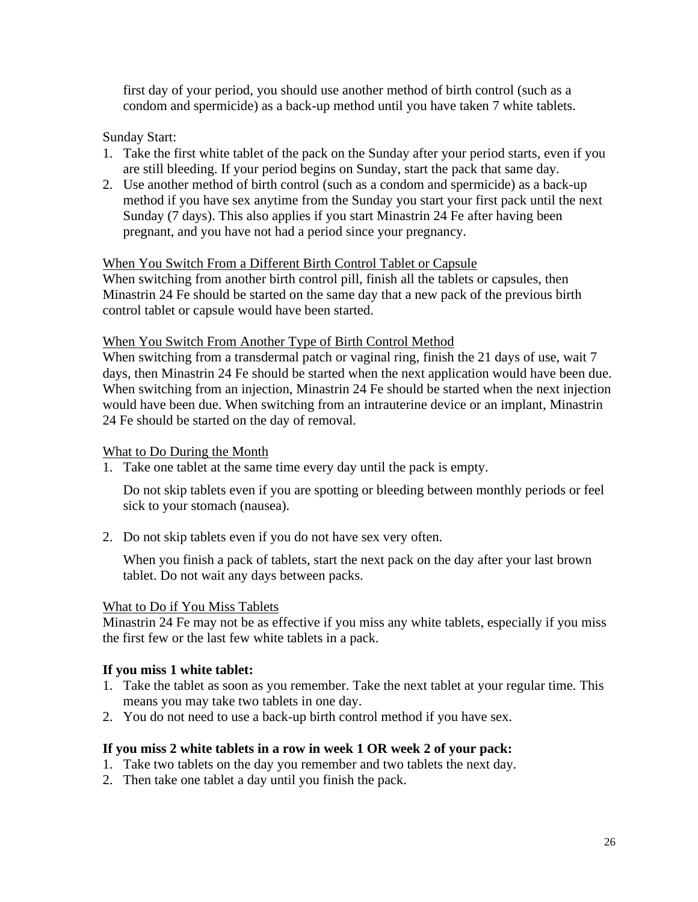first day of your period, you should use another method of birth control (such as a condom and spermicide) as a back-up method until you have taken 7 white tablets.

Sunday Start:

- 1. Take the first white tablet of the pack on the Sunday after your period starts, even if you are still bleeding. If your period begins on Sunday, start the pack that same day.
- 2. Use another method of birth control (such as a condom and spermicide) as a back-up method if you have sex anytime from the Sunday you start your first pack until the next Sunday (7 days). This also applies if you start Minastrin 24 Fe after having been pregnant, and you have not had a period since your pregnancy.

#### When You Switch From a Different Birth Control Tablet or Capsule

When switching from another birth control pill, finish all the tablets or capsules, then Minastrin 24 Fe should be started on the same day that a new pack of the previous birth control tablet or capsule would have been started.

#### When You Switch From Another Type of Birth Control Method

When switching from a transdermal patch or vaginal ring, finish the 21 days of use, wait 7 days, then Minastrin 24 Fe should be started when the next application would have been due. When switching from an injection, Minastrin 24 Fe should be started when the next injection would have been due. When switching from an intrauterine device or an implant, Minastrin 24 Fe should be started on the day of removal.

#### What to Do During the Month

1. Take one tablet at the same time every day until the pack is empty.

Do not skip tablets even if you are spotting or bleeding between monthly periods or feel sick to your stomach (nausea).

2. Do not skip tablets even if you do not have sex very often.

When you finish a pack of tablets, start the next pack on the day after your last brown tablet. Do not wait any days between packs.

#### <span id="page-25-0"></span>What to Do if You Miss Tablets

Minastrin 24 Fe may not be as effective if you miss any white tablets, especially if you miss the first few or the last few white tablets in a pack.

#### **If you miss 1 white tablet:**

- 1. Take the tablet as soon as you remember. Take the next tablet at your regular time. This means you may take two tablets in one day.
- 2. You do not need to use a back-up birth control method if you have sex.

#### **If you miss 2 white tablets in a row in week 1 OR week 2 of your pack:**

- 1. Take two tablets on the day you remember and two tablets the next day.
- 2. Then take one tablet a day until you finish the pack.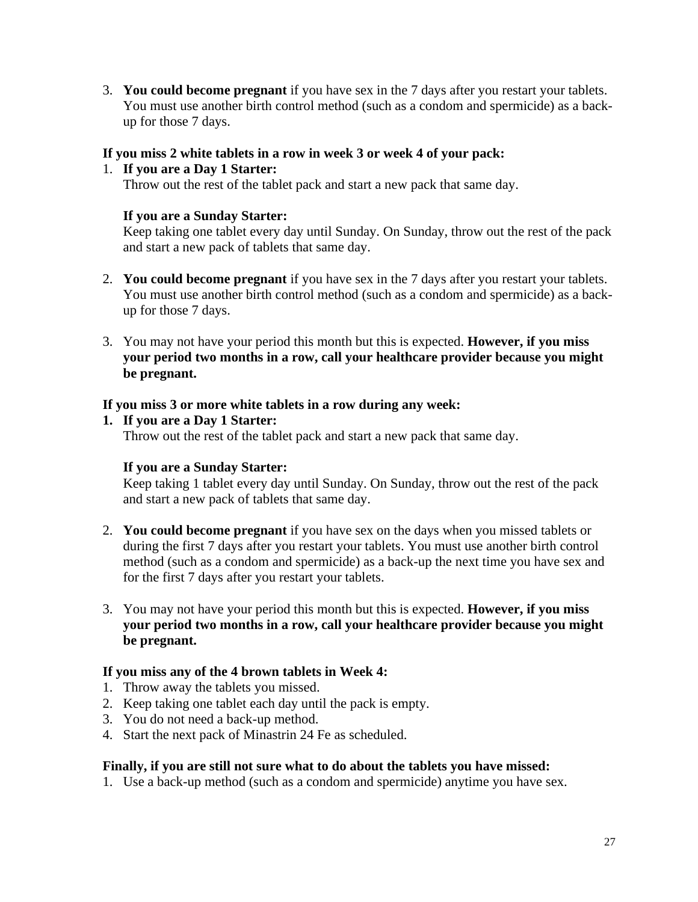3. **You could become pregnant** if you have sex in the 7 days after you restart your tablets. You must use another birth control method (such as a condom and spermicide) as a backup for those 7 days.

#### **If you miss 2 white tablets in a row in week 3 or week 4 of your pack:**

#### 1. **If you are a Day 1 Starter:** Throw out the rest of the tablet pack and start a new pack that same day.

#### **If you are a Sunday Starter:**

Keep taking one tablet every day until Sunday. On Sunday, throw out the rest of the pack and start a new pack of tablets that same day.

- 2. **You could become pregnant** if you have sex in the 7 days after you restart your tablets. You must use another birth control method (such as a condom and spermicide) as a backup for those 7 days.
- 3. You may not have your period this month but this is expected. **However, if you miss your period two months in a row, call your healthcare provider because you might be pregnant.**

#### **If you miss 3 or more white tablets in a row during any week:**

#### **1. If you are a Day 1 Starter:**

Throw out the rest of the tablet pack and start a new pack that same day.

#### **If you are a Sunday Starter:**

Keep taking 1 tablet every day until Sunday. On Sunday, throw out the rest of the pack and start a new pack of tablets that same day.

- 2. **You could become pregnant** if you have sex on the days when you missed tablets or during the first 7 days after you restart your tablets. You must use another birth control method (such as a condom and spermicide) as a back-up the next time you have sex and for the first 7 days after you restart your tablets.
- 3. You may not have your period this month but this is expected. **However, if you miss your period two months in a row, call your healthcare provider because you might be pregnant.**

#### **If you miss any of the 4 brown tablets in Week 4:**

- 1. Throw away the tablets you missed.
- 2. Keep taking one tablet each day until the pack is empty.
- 3. You do not need a back-up method.
- 4. Start the next pack of Minastrin 24 Fe as scheduled.

#### **Finally, if you are still not sure what to do about the tablets you have missed:**

1. Use a back-up method (such as a condom and spermicide) anytime you have sex.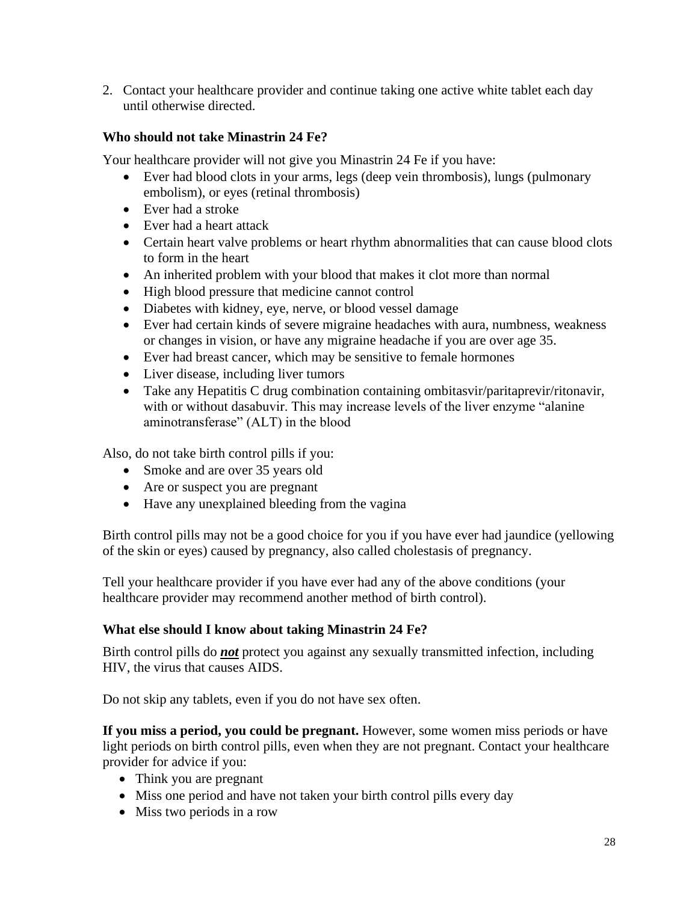2. Contact your healthcare provider and continue taking one active white tablet each day until otherwise directed.

#### **Who should not take Minastrin 24 Fe?**

Your healthcare provider will not give you Minastrin 24 Fe if you have:

- Ever had blood clots in your arms, legs (deep vein thrombosis), lungs (pulmonary embolism), or eyes (retinal thrombosis)
- Ever had a stroke
- Ever had a heart attack
- Certain heart valve problems or heart rhythm abnormalities that can cause blood clots to form in the heart
- An inherited problem with your blood that makes it clot more than normal
- High blood pressure that medicine cannot control
- Diabetes with kidney, eye, nerve, or blood vessel damage
- Ever had certain kinds of severe migraine headaches with aura, numbness, weakness or changes in vision, or have any migraine headache if you are over age 35.
- Ever had breast cancer, which may be sensitive to female hormones
- Liver disease, including liver tumors
- Take any Hepatitis C drug combination containing ombitasvir/paritaprevir/ritonavir, with or without dasabuvir. This may increase levels of the liver enzyme "alanine aminotransferase" (ALT) in the blood

Also, do not take birth control pills if you:

- Smoke and are over 35 years old
- Are or suspect you are pregnant
- Have any unexplained bleeding from the vagina

Birth control pills may not be a good choice for you if you have ever had jaundice (yellowing of the skin or eyes) caused by pregnancy, also called cholestasis of pregnancy.

Tell your healthcare provider if you have ever had any of the above conditions (your healthcare provider may recommend another method of birth control).

#### **What else should I know about taking Minastrin 24 Fe?**

Birth control pills do *not* protect you against any sexually transmitted infection, including HIV, the virus that causes AIDS.

Do not skip any tablets, even if you do not have sex often.

**If you miss a period, you could be pregnant.** However, some women miss periods or have light periods on birth control pills, even when they are not pregnant. Contact your healthcare provider for advice if you:

- Think you are pregnant
- Miss one period and have not taken your birth control pills every day
- Miss two periods in a row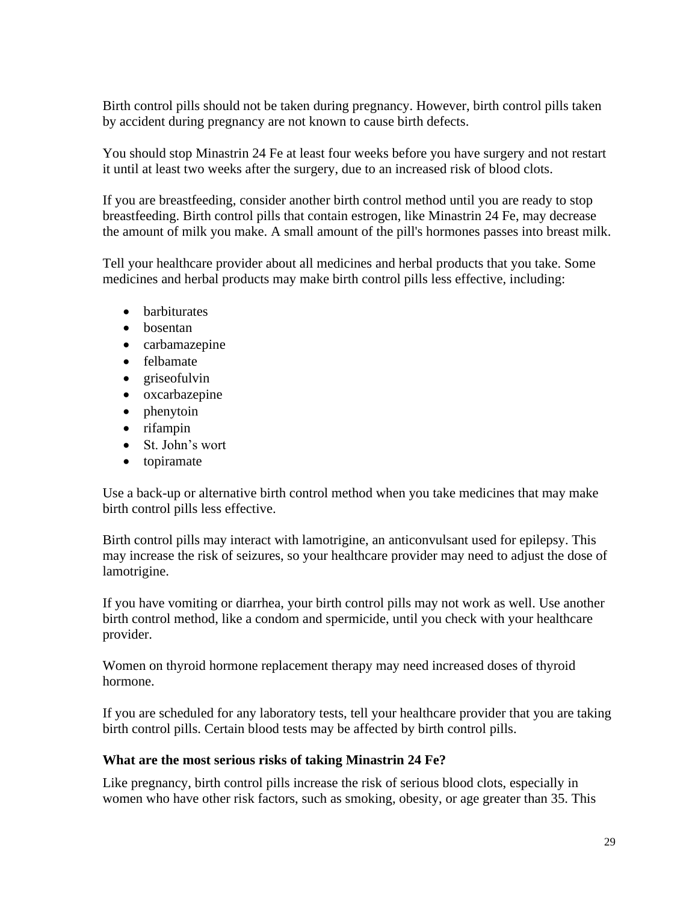Birth control pills should not be taken during pregnancy. However, birth control pills taken by accident during pregnancy are not known to cause birth defects.

You should stop Minastrin 24 Fe at least four weeks before you have surgery and not restart it until at least two weeks after the surgery, due to an increased risk of blood clots.

If you are breastfeeding, consider another birth control method until you are ready to stop breastfeeding. Birth control pills that contain estrogen, like Minastrin 24 Fe, may decrease the amount of milk you make. A small amount of the pill's hormones passes into breast milk.

Tell your healthcare provider about all medicines and herbal products that you take. Some medicines and herbal products may make birth control pills less effective, including:

- barbiturates
- bosentan
- carbamazepine
- felbamate
- griseofulvin
- oxcarbazepine
- phenytoin
- rifampin
- St. John's wort
- topiramate

Use a back-up or alternative birth control method when you take medicines that may make birth control pills less effective.

Birth control pills may interact with lamotrigine, an anticonvulsant used for epilepsy. This may increase the risk of seizures, so your healthcare provider may need to adjust the dose of lamotrigine.

If you have vomiting or diarrhea, your birth control pills may not work as well. Use another birth control method, like a condom and spermicide, until you check with your healthcare provider.

Women on thyroid hormone replacement therapy may need increased doses of thyroid hormone.

If you are scheduled for any laboratory tests, tell your healthcare provider that you are taking birth control pills. Certain blood tests may be affected by birth control pills.

#### **What are the most serious risks of taking Minastrin 24 Fe?**

Like pregnancy, birth control pills increase the risk of serious blood clots, especially in women who have other risk factors, such as smoking, obesity, or age greater than 35. This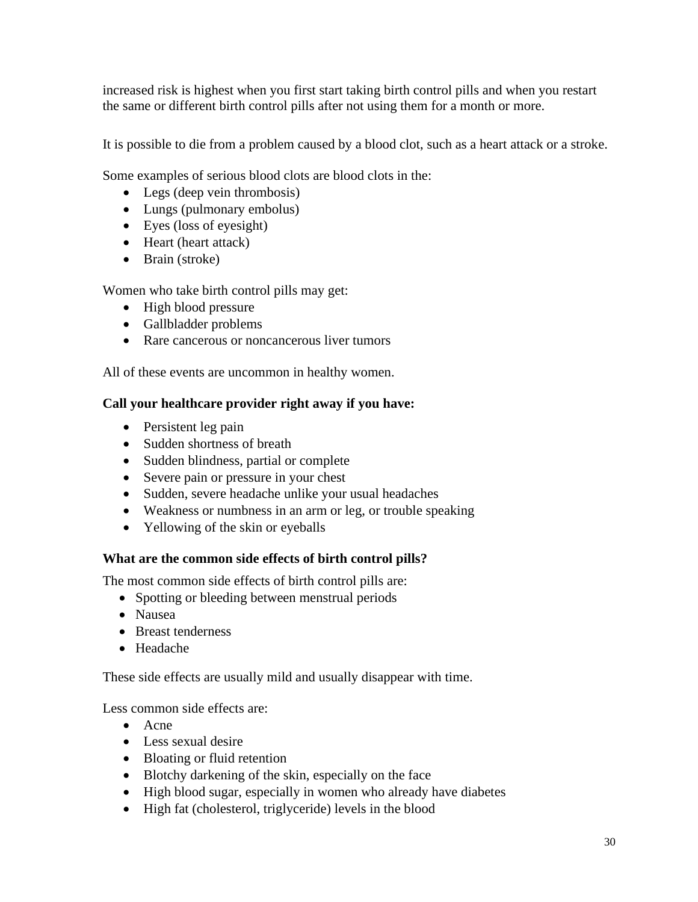increased risk is highest when you first start taking birth control pills and when you restart the same or different birth control pills after not using them for a month or more.

It is possible to die from a problem caused by a blood clot, such as a heart attack or a stroke.

Some examples of serious blood clots are blood clots in the:

- Legs (deep vein thrombosis)
- Lungs (pulmonary embolus)
- Eyes (loss of eyesight)
- Heart (heart attack)
- Brain (stroke)

Women who take birth control pills may get:

- High blood pressure
- Gallbladder problems
- Rare cancerous or noncancerous liver tumors

All of these events are uncommon in healthy women.

#### **Call your healthcare provider right away if you have:**

- Persistent leg pain
- Sudden shortness of breath
- Sudden blindness, partial or complete
- Severe pain or pressure in your chest
- Sudden, severe headache unlike your usual headaches
- Weakness or numbness in an arm or leg, or trouble speaking
- Yellowing of the skin or eyeballs

#### **What are the common side effects of birth control pills?**

The most common side effects of birth control pills are:

- Spotting or bleeding between menstrual periods
- Nausea
- Breast tenderness
- Headache

These side effects are usually mild and usually disappear with time.

Less common side effects are:

- Acne
- Less sexual desire
- Bloating or fluid retention
- Blotchy darkening of the skin, especially on the face
- High blood sugar, especially in women who already have diabetes
- High fat (cholesterol, triglyceride) levels in the blood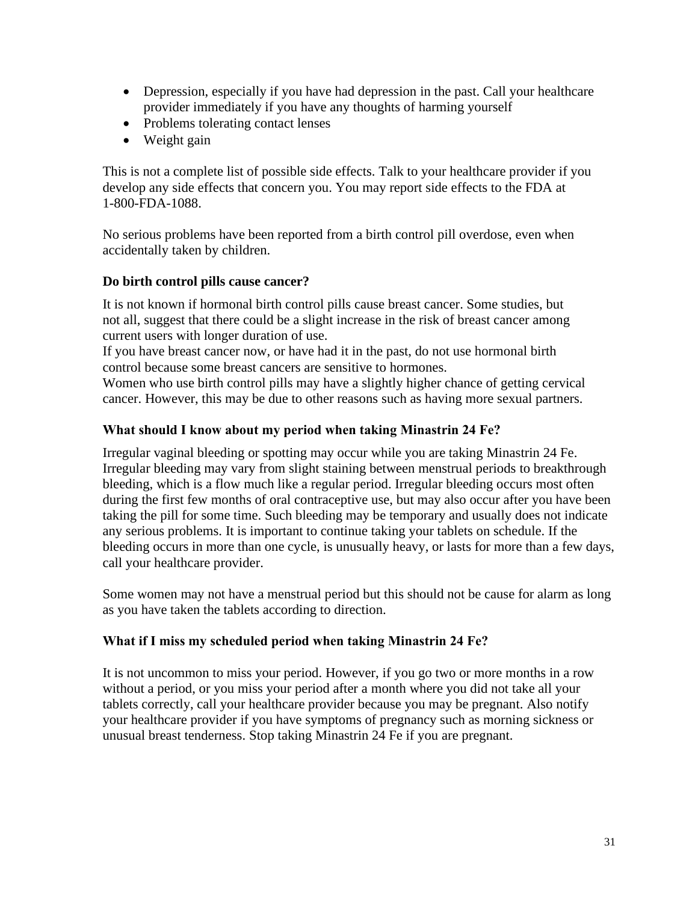- Depression, especially if you have had depression in the past. Call your healthcare provider immediately if you have any thoughts of harming yourself
- Problems tolerating contact lenses
- Weight gain

This is not a complete list of possible side effects. Talk to your healthcare provider if you develop any side effects that concern you. You may report side effects to the FDA at 1-800-FDA-1088.

No serious problems have been reported from a birth control pill overdose, even when accidentally taken by children.

#### **Do birth control pills cause cancer?**

It is not known if hormonal birth control pills cause breast cancer. Some studies, but not all, suggest that there could be a slight increase in the risk of breast cancer among current users with longer duration of use.

If you have breast cancer now, or have had it in the past, do not use hormonal birth control because some breast cancers are sensitive to hormones.

Women who use birth control pills may have a slightly higher chance of getting cervical cancer. However, this may be due to other reasons such as having more sexual partners.

#### **What should I know about my period when taking Minastrin 24 Fe?**

Irregular vaginal bleeding or spotting may occur while you are taking Minastrin 24 Fe. Irregular bleeding may vary from slight staining between menstrual periods to breakthrough bleeding, which is a flow much like a regular period. Irregular bleeding occurs most often during the first few months of oral contraceptive use, but may also occur after you have been taking the pill for some time. Such bleeding may be temporary and usually does not indicate any serious problems. It is important to continue taking your tablets on schedule. If the bleeding occurs in more than one cycle, is unusually heavy, or lasts for more than a few days, call your healthcare provider.

Some women may not have a menstrual period but this should not be cause for alarm as long as you have taken the tablets according to direction.

#### **What if I miss my scheduled period when taking Minastrin 24 Fe?**

It is not uncommon to miss your period. However, if you go two or more months in a row without a period, or you miss your period after a month where you did not take all your tablets correctly, call your healthcare provider because you may be pregnant. Also notify your healthcare provider if you have symptoms of pregnancy such as morning sickness or unusual breast tenderness. Stop taking Minastrin 24 Fe if you are pregnant.